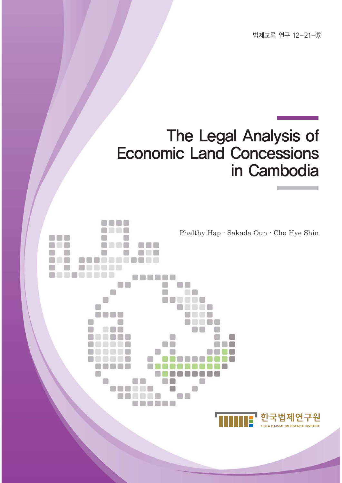법제교류 연구 12-21-5

## The Legal Analysis of **Economic Land Concessions** in Cambodia

Phalthy Hap · Sakada Oun · Cho Hye Shin

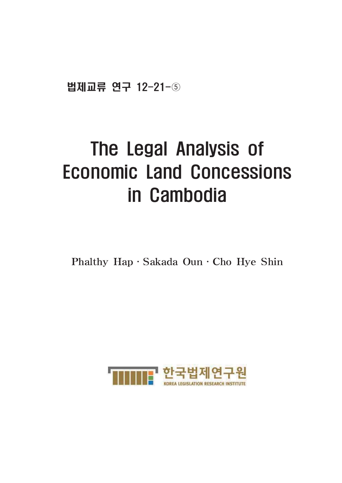법제교류 연구 12-21-5

## The Legal Analysis of **Economic Land Concessions** in Cambodia

Phalthy Hap · Sakada Oun · Cho Hye Shin

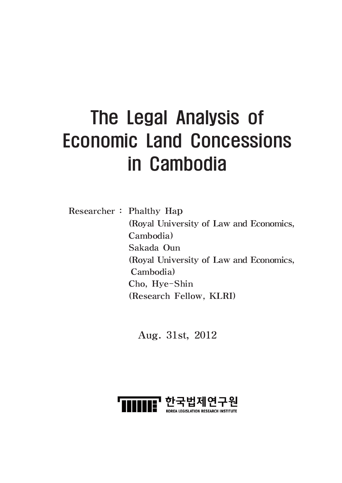# The Legal Analysis of **Economic Land Concessions** in Cambodia

**Researcher:** Phalthy Hap (Royal University of Law and Economics, Cambodia) Sakada Oun (Royal University of Law and Economics, Cambodia) Cho, Hye-Shin (Research Fellow, KLRI)

Aug. 31st, 2012

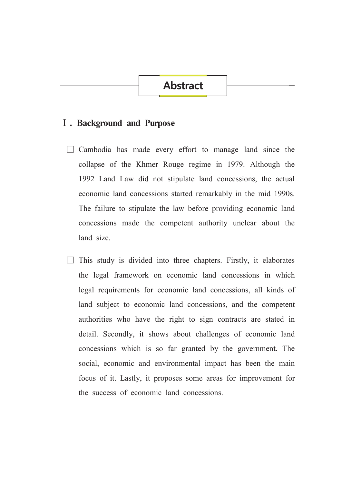## **Abstract**

#### **I**. Background and Purpose

- $\Box$  Cambodia has made every effort to manage land since the collapse of the Khmer Rouge regime in 1979. Although the 1992 Land Law did not stipulate land concessions, the actual economic land concessions started remarkably in the mid 1990s. The failure to stipulate the law before providing economic land concessions made the competent authority unclear about the land size
- This study is divided into three chapters. Firstly, it elaborates the legal framework on economic land concessions in which legal requirements for economic land concessions, all kinds of land subject to economic land concessions, and the competent authorities who have the right to sign contracts are stated in detail. Secondly, it shows about challenges of economic land concessions which is so far granted by the government. The social, economic and environmental impact has been the main focus of it. Lastly, it proposes some areas for improvement for the success of economic land concessions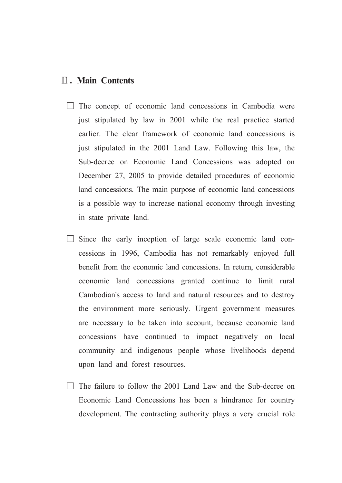### **II. Main Contents**

- $\Box$  The concept of economic land concessions in Cambodia were just stipulated by law in 2001 while the real practice started earlier. The clear framework of economic land concessions is just stipulated in the 2001 Land Law. Following this law, the Sub-decree on Economic Land Concessions was adopted on December 27, 2005 to provide detailed procedures of economic land concessions. The main purpose of economic land concessions is a possible way to increase national economy through investing in state private land.
- Since the early inception of large scale economic land concessions in 1996, Cambodia has not remarkably enjoyed full benefit from the economic land concessions. In return, considerable economic land concessions granted continue to limit rural Cambodian's access to land and natural resources and to destroy the environment more seriously. Urgent government measures are necessary to be taken into account, because economic land concessions have continued to impact negatively on local community and indigenous people whose livelihoods depend upon land and forest resources.
- $\Box$  The failure to follow the 2001 Land Law and the Sub-decree on Economic Land Concessions has been a hindrance for country development. The contracting authority plays a very crucial role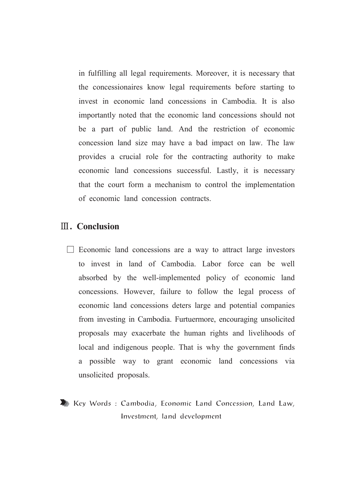in fulfilling all legal requirements. Moreover, it is necessary that the concessionaires know legal requirements before starting to invest in economic land concessions in Cambodia. It is also importantly noted that the economic land concessions should not be a part of public land. And the restriction of economic concession land size may have a bad impact on law. The law provides a crucial role for the contracting authority to make economic land concessions successful. Lastly, it is necessary that the court form a mechanism to control the implementation of economic land concession contracts.

### **III.** Conclusion

- $\Box$  Economic land concessions are a way to attract large investors to invest in land of Cambodia. Labor force can be well absorbed by the well-implemented policy of economic land concessions. However, failure to follow the legal process of economic land concessions deters large and potential companies from investing in Cambodia. Furtuermore, encouraging unsolicited proposals may exacerbate the human rights and livelihoods of local and indigenous people. That is why the government finds a possible way to grant economic land concessions via unsolicited proposals.
- Key Words: Cambodia, Economic Land Concession, Land Law, Investment, land development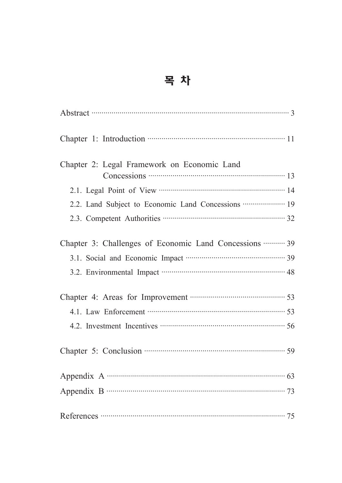## 목 차

| Abstract 3                                                                                 |
|--------------------------------------------------------------------------------------------|
|                                                                                            |
| Chapter 2: Legal Framework on Economic Land                                                |
|                                                                                            |
|                                                                                            |
| 2.2. Land Subject to Economic Land Concessions <b>················</b> ·· 19               |
|                                                                                            |
| Chapter 3: Challenges of Economic Land Concessions  39                                     |
| 3.1. Social and Economic Impact manufactured and 39                                        |
| 3.2. Environmental Impact manuscritting and 48                                             |
| Chapter 4: Areas for Improvement <b>Chapter 4:</b> Areas for Improvement <b>Chapter</b> 4: |
| 4.1. Law Enforcement manufactured and 53                                                   |
| 4.2. Investment Incentives <b>CONSUMER</b> 56                                              |
| Chapter 5: Conclusion <b>Chapter</b> 5: Conclusion <b>Chapter</b> 5:                       |
|                                                                                            |
|                                                                                            |
|                                                                                            |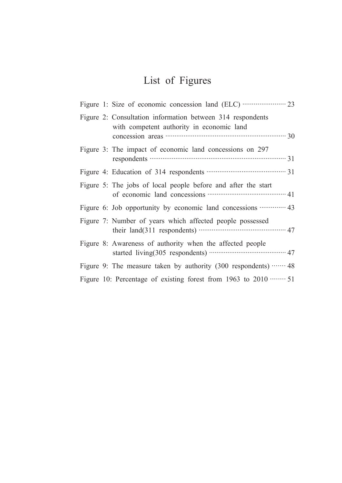## List of Figures

| Figure 2: Consultation information between 314 respondents<br>with competent authority in economic land                |
|------------------------------------------------------------------------------------------------------------------------|
| Figure 3: The impact of economic land concessions on 297                                                               |
|                                                                                                                        |
| Figure 5: The jobs of local people before and after the start<br>of economic land concessions <b>contract and</b> $41$ |
|                                                                                                                        |
| Figure 7: Number of years which affected people possessed                                                              |
| Figure 8: Awareness of authority when the affected people                                                              |
| Figure 9: The measure taken by authority $(300 \text{ respondents}) \cdots 48$                                         |
| Figure 10: Percentage of existing forest from 1963 to $2010$ 51                                                        |
|                                                                                                                        |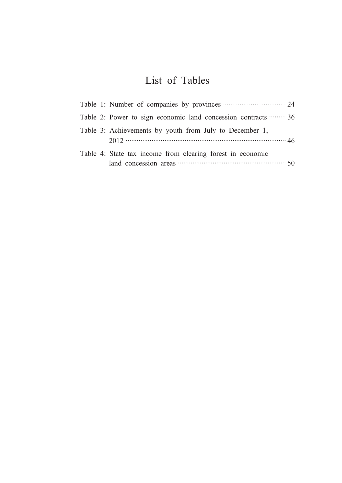## List of Tables

| Table 1: Number of companies by provinces <b>companies</b> 24                                                                                                                                                                                                                                      |  |
|----------------------------------------------------------------------------------------------------------------------------------------------------------------------------------------------------------------------------------------------------------------------------------------------------|--|
| Table 2: Power to sign economic land concession contracts  36                                                                                                                                                                                                                                      |  |
| Table 3: Achievements by youth from July to December 1,                                                                                                                                                                                                                                            |  |
| Table 4: State tax income from clearing forest in economic<br>land concession areas <b>contract the contract of the state of the state of the state of the state of the state of the state of the state of the state of the state of the state of the state of the state of the state of the s</b> |  |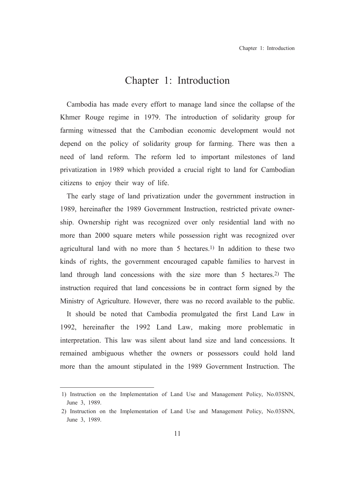### Chapter 1: Introduction

Cambodia has made every effort to manage land since the collapse of the Khmer Rouge regime in 1979. The introduction of solidarity group for farming witnessed that the Cambodian economic development would not depend on the policy of solidarity group for farming. There was then a need of land reform. The reform led to important milestones of land privatization in 1989 which provided a crucial right to land for Cambodian citizens to enjoy their way of life.

The early stage of land privatization under the government instruction in 1989, hereinafter the 1989 Government Instruction, restricted private ownership. Ownership right was recognized over only residential land with no more than 2000 square meters while possession right was recognized over agricultural land with no more than 5 hectares.<sup>1)</sup> In addition to these two kinds of rights, the government encouraged capable families to harvest in land through land concessions with the size more than 5 hectares.<sup>2)</sup> The instruction required that land concessions be in contract form signed by the Ministry of Agriculture. However, there was no record available to the public.

It should be noted that Cambodia promulgated the first Land Law in 1992, hereinafter the 1992 Land Law, making more problematic in interpretation. This law was silent about land size and land concessions. It remained ambiguous whether the owners or possessors could hold land more than the amount stipulated in the 1989 Government Instruction. The

<sup>1)</sup> Instruction on the Implementation of Land Use and Management Policy, No.03SNN, June 3, 1989.

<sup>2)</sup> Instruction on the Implementation of Land Use and Management Policy, No.03SNN, June 3, 1989.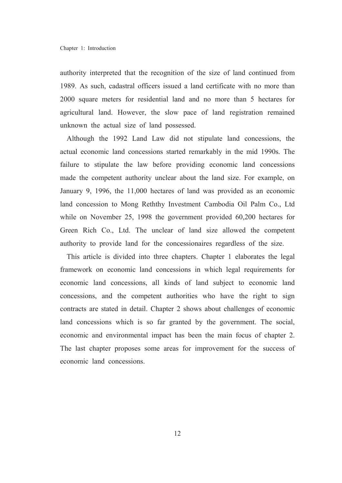authority interpreted that the recognition of the size of land continued from 1989. As such, cadastral officers issued a land certificate with no more than 2000 square meters for residential land and no more than 5 hectares for agricultural land. However, the slow pace of land registration remained unknown the actual size of land possessed.

Although the 1992 Land Law did not stipulate land concessions, the actual economic land concessions started remarkably in the mid 1990s. The failure to stipulate the law before providing economic land concessions made the competent authority unclear about the land size. For example, on January 9, 1996, the 11,000 hectares of land was provided as an economic land concession to Mong Reththy Investment Cambodia Oil Palm Co., Ltd while on November 25, 1998 the government provided 60,200 hectares for Green Rich Co., Ltd. The unclear of land size allowed the competent authority to provide land for the concessionaires regardless of the size.

This article is divided into three chapters. Chapter 1 elaborates the legal framework on economic land concessions in which legal requirements for economic land concessions, all kinds of land subject to economic land concessions, and the competent authorities who have the right to sign contracts are stated in detail. Chapter 2 shows about challenges of economic land concessions which is so far granted by the government. The social, economic and environmental impact has been the main focus of chapter 2. The last chapter proposes some areas for improvement for the success of economic land concessions.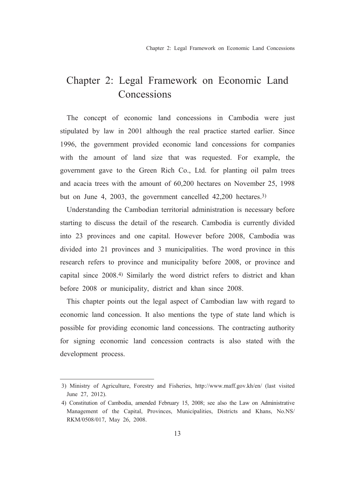## Chapter 2: Legal Framework on Economic Land Concessions

The concept of economic land concessions in Cambodia were just stipulated by law in 2001 although the real practice started earlier. Since 1996, the government provided economic land concessions for companies with the amount of land size that was requested. For example, the government gave to the Green Rich Co., Ltd. for planting oil palm trees and acacia trees with the amount of 60,200 hectares on November 25, 1998 but on June 4, 2003, the government cancelled 42,200 hectares.<sup>3)</sup>

Understanding the Cambodian territorial administration is necessary before starting to discuss the detail of the research. Cambodia is currently divided into 23 provinces and one capital. However before 2008, Cambodia was divided into 21 provinces and 3 municipalities. The word province in this research refers to province and municipality before 2008, or province and capital since 2008.<sup>4)</sup> Similarly the word district refers to district and khan before 2008 or municipality, district and khan since 2008.

This chapter points out the legal aspect of Cambodian law with regard to economic land concession. It also mentions the type of state land which is possible for providing economic land concessions. The contracting authority for signing economic land concession contracts is also stated with the development process.

<sup>3)</sup> Ministry of Agriculture, Forestry and Fisheries, http://www.maff.gov.kh/en/ (last visited June 27, 2012).

<sup>4)</sup> Constitution of Cambodia, amended February 15, 2008; see also the Law on Administrative Management of the Capital, Provinces, Municipalities, Districts and Khans, No.NS/ RKM/0508/017, May 26, 2008.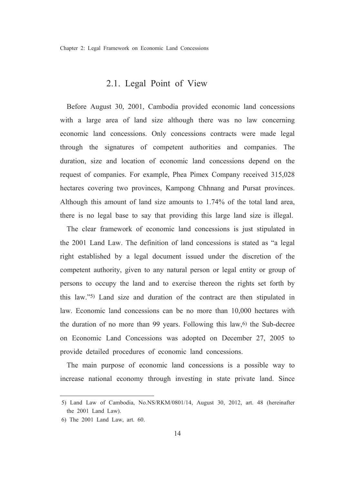Chapter 2: Legal Framework on Economic Land Concessions

#### 2.1. Legal Point of View

Before August 30, 2001, Cambodia provided economic land concessions with a large area of land size although there was no law concerning economic land concessions. Only concessions contracts were made legal through the signatures of competent authorities and companies. The duration, size and location of economic land concessions depend on the request of companies. For example, Phea Pimex Company received 315,028 hectares covering two provinces, Kampong Chhnang and Pursat provinces. Although this amount of land size amounts to 1.74% of the total land area, there is no legal base to say that providing this large land size is illegal.

The clear framework of economic land concessions is just stipulated in the 2001 Land Law. The definition of land concessions is stated as "a legal right established by a legal document issued under the discretion of the competent authority, given to any natural person or legal entity or group of persons to occupy the land and to exercise thereon the rights set forth by this law."5) Land size and duration of the contract are then stipulated in law. Economic land concessions can be no more than 10,000 hectares with the duration of no more than 99 years. Following this law,<sup>6)</sup> the Sub-decree on Economic Land Concessions was adopted on December 27, 2005 to provide detailed procedures of economic land concessions.

The main purpose of economic land concessions is a possible way to increase national economy through investing in state private land. Since

<sup>5)</sup> Land Law of Cambodia, No.NS/RKM/0801/14, August 30, 2012, art. 48 (hereinafter the 2001 Land Law).

<sup>6)</sup> The 2001 Land Law, art. 60.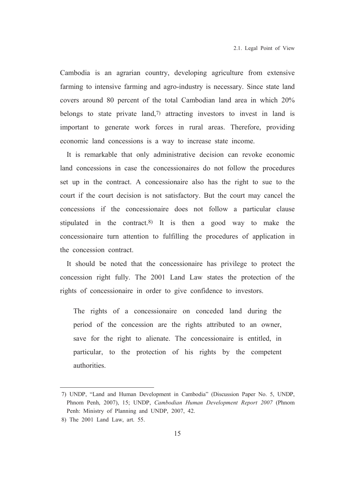Cambodia is an agrarian country, developing agriculture from extensive farming to intensive farming and agro-industry is necessary. Since state land covers around 80 percent of the total Cambodian land area in which 20% belongs to state private land,<sup>7)</sup> attracting investors to invest in land is important to generate work forces in rural areas. Therefore, providing economic land concessions is a way to increase state income.

It is remarkable that only administrative decision can revoke economic land concessions in case the concessionaires do not follow the procedures set up in the contract. A concessionaire also has the right to sue to the court if the court decision is not satisfactory. But the court may cancel the concessions if the concessionaire does not follow a particular clause stipulated in the contract.<sup>8)</sup> It is then a good way to make the concessionaire turn attention to fulfilling the procedures of application in the concession contract

It should be noted that the concessionaire has privilege to protect the concession right fully. The 2001 Land Law states the protection of the rights of concessionaire in order to give confidence to investors.

The rights of a concessionaire on conceded land during the period of the concession are the rights attributed to an owner, save for the right to alienate. The concessionaire is entitled, in particular, to the protection of his rights by the competent authorities.

<sup>7)</sup> UNDP, "Land and Human Development in Cambodia" (Discussion Paper No. 5, UNDP, Phnom Penh, 2007), 15; UNDP, Cambodian Human Development Report 2007 (Phnom Penh: Ministry of Planning and UNDP, 2007, 42.

<sup>8)</sup> The 2001 Land Law, art. 55.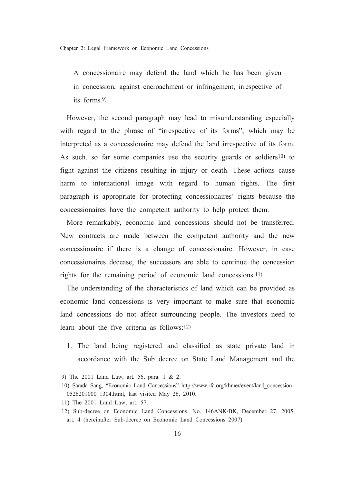Chapter 2: Legal Framework on Economic Land Concessions

A concessionaire may defend the land which he has been given in concession, against encroachment or infringement, irrespective of its forms  $9$ 

However, the second paragraph may lead to misunderstanding especially with regard to the phrase of "irrespective of its forms", which may be interpreted as a concessionaire may defend the land irrespective of its form. As such, so far some companies use the security guards or soldiers<sup>10</sup> to fight against the citizens resulting in injury or death. These actions cause harm to international image with regard to human rights. The first paragraph is appropriate for protecting concessionaires' rights because the concessionaires have the competent authority to help protect them.

More remarkably, economic land concessions should not be transferred. New contracts are made between the competent authority and the new concessionaire if there is a change of concessionaire. However, in case concessionaires decease, the successors are able to continue the concession rights for the remaining period of economic land concessions.<sup>11)</sup>

The understanding of the characteristics of land which can be provided as economic land concessions is very important to make sure that economic land concessions do not affect surrounding people. The investors need to learn about the five criteria as follows:<sup>12)</sup>

1. The land being registered and classified as state private land in accordance with the Sub decree on State Land Management and the

<sup>9)</sup> The 2001 Land Law, art. 56, para. 1 & 2.

<sup>10)</sup> Sarada Sang, "Economic Land Concessions" http://www.rfa.org/khmer/event/land concession-0526201000 1304.html. last visited May 26, 2010.

<sup>11)</sup> The 2001 Land Law, art. 57.

<sup>12)</sup> Sub-decree on Economic Land Concessions, No. 146ANK/BK, December 27, 2005, art. 4 (hereinafter Sub-decree on Economic Land Concessions 2007).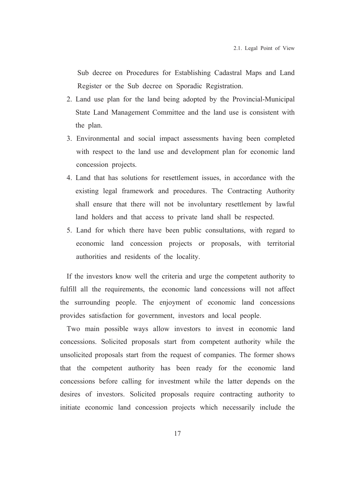Sub decree on Procedures for Establishing Cadastral Maps and Land Register or the Sub decree on Sporadic Registration.

- 2. Land use plan for the land being adopted by the Provincial-Municipal State Land Management Committee and the land use is consistent with the plan.
- 3. Environmental and social impact assessments having been completed with respect to the land use and development plan for economic land concession projects.
- 4. Land that has solutions for resettlement issues, in accordance with the existing legal framework and procedures. The Contracting Authority shall ensure that there will not be involuntary resettlement by lawful land holders and that access to private land shall be respected.
- 5. Land for which there have been public consultations, with regard to economic land concession projects or proposals, with territorial authorities and residents of the locality.

If the investors know well the criteria and urge the competent authority to fulfill all the requirements, the economic land concessions will not affect the surrounding people. The enjoyment of economic land concessions provides satisfaction for government, investors and local people.

Two main possible ways allow investors to invest in economic land concessions. Solicited proposals start from competent authority while the unsolicited proposals start from the request of companies. The former shows that the competent authority has been ready for the economic land concessions before calling for investment while the latter depends on the desires of investors. Solicited proposals require contracting authority to initiate economic land concession projects which necessarily include the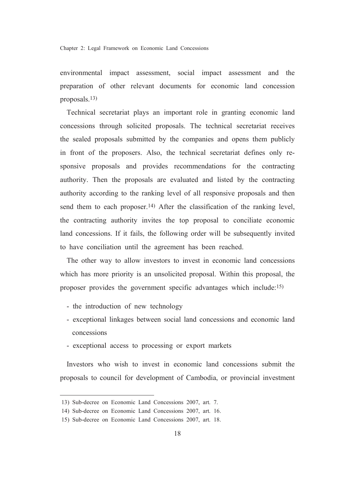Chapter 2: Legal Framework on Economic Land Concessions

environmental impact assessment, social impact assessment and the preparation of other relevant documents for economic land concession proposals. $13)$ 

Technical secretariat plays an important role in granting economic land concessions through solicited proposals. The technical secretariat receives the sealed proposals submitted by the companies and opens them publicly in front of the proposers. Also, the technical secretariat defines only responsive proposals and provides recommendations for the contracting authority. Then the proposals are evaluated and listed by the contracting authority according to the ranking level of all responsive proposals and then send them to each proposer.<sup>14)</sup> After the classification of the ranking level, the contracting authority invites the top proposal to conciliate economic land concessions. If it fails, the following order will be subsequently invited to have conciliation until the agreement has been reached.

The other way to allow investors to invest in economic land concessions which has more priority is an unsolicited proposal. Within this proposal, the proposer provides the government specific advantages which include:15)

- the introduction of new technology
- exceptional linkages between social land concessions and economic land concessions
- exceptional access to processing or export markets

Investors who wish to invest in economic land concessions submit the proposals to council for development of Cambodia, or provincial investment

<sup>13)</sup> Sub-decree on Economic Land Concessions 2007, art. 7.

<sup>14)</sup> Sub-decree on Economic Land Concessions 2007, art. 16.

<sup>15)</sup> Sub-decree on Economic Land Concessions 2007, art. 18.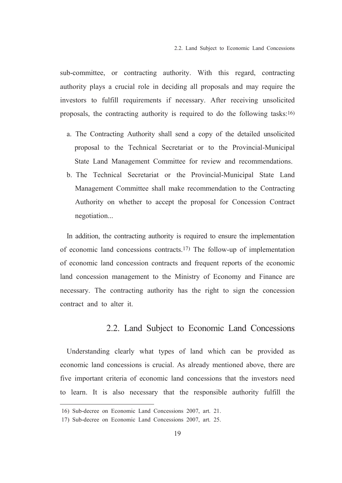sub-committee, or contracting authority. With this regard, contracting authority plays a crucial role in deciding all proposals and may require the investors to fulfill requirements if necessary. After receiving unsolicited proposals, the contracting authority is required to do the following tasks:16)

- a. The Contracting Authority shall send a copy of the detailed unsolicited proposal to the Technical Secretariat or to the Provincial-Municipal State Land Management Committee for review and recommendations.
- b. The Technical Secretariat or the Provincial-Municipal State Land Management Committee shall make recommendation to the Contracting Authority on whether to accept the proposal for Concession Contract negotiation...

In addition, the contracting authority is required to ensure the implementation of economic land concessions contracts.<sup>17)</sup> The follow-up of implementation of economic land concession contracts and frequent reports of the economic land concession management to the Ministry of Economy and Finance are necessary. The contracting authority has the right to sign the concession contract and to alter it.

#### 2.2. Land Subject to Economic Land Concessions

Understanding clearly what types of land which can be provided as economic land concessions is crucial. As already mentioned above, there are five important criteria of economic land concessions that the investors need to learn. It is also necessary that the responsible authority fulfill the

<sup>16)</sup> Sub-decree on Economic Land Concessions 2007, art. 21.

<sup>17)</sup> Sub-decree on Economic Land Concessions 2007, art. 25.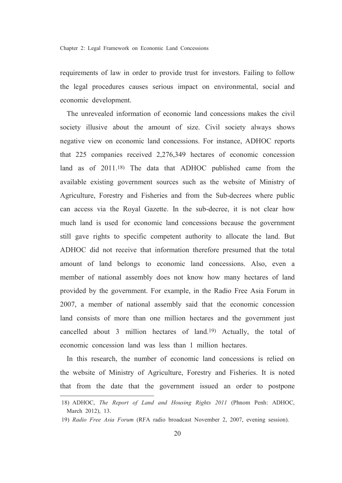requirements of law in order to provide trust for investors. Failing to follow the legal procedures causes serious impact on environmental, social and economic development.

The unrevealed information of economic land concessions makes the civil society illusive about the amount of size. Civil society always shows negative view on economic land concessions. For instance, ADHOC reports that 225 companies received 2,276,349 hectares of economic concession land as of 2011.<sup>18</sup>) The data that ADHOC published came from the available existing government sources such as the website of Ministry of Agriculture, Forestry and Fisheries and from the Sub-decrees where public can access via the Royal Gazette. In the sub-decree, it is not clear how much land is used for economic land concessions because the government still gave rights to specific competent authority to allocate the land. But ADHOC did not receive that information therefore presumed that the total amount of land belongs to economic land concessions. Also, even a member of national assembly does not know how many hectares of land provided by the government. For example, in the Radio Free Asia Forum in 2007, a member of national assembly said that the economic concession land consists of more than one million hectares and the government just cancelled about 3 million hectares of land.<sup>19</sup> Actually, the total of economic concession land was less than 1 million hectares

In this research, the number of economic land concessions is relied on the website of Ministry of Agriculture, Forestry and Fisheries. It is noted that from the date that the government issued an order to postpone

<sup>18)</sup> ADHOC, The Report of Land and Housing Rights 2011 (Phnom Penh: ADHOC, March 2012), 13.

<sup>19)</sup> Radio Free Asia Forum (RFA radio broadcast November 2, 2007, evening session).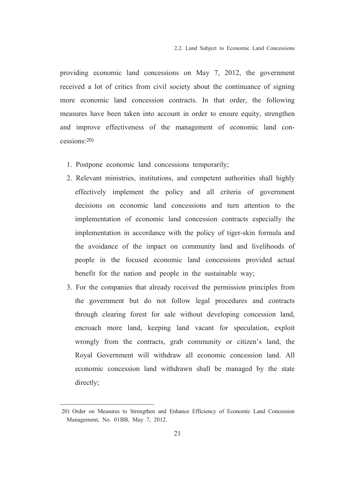providing economic land concessions on May 7, 2012, the government received a lot of critics from civil society about the continuance of signing more economic land concession contracts. In that order, the following measures have been taken into account in order to ensure equity, strengthen and improve effectiveness of the management of economic land con $c$ essions<sup>20</sup>)

- 1. Postpone economic land concessions temporarily;
- 2. Relevant ministries, institutions, and competent authorities shall highly effectively implement the policy and all criteria of government decisions on economic land concessions and turn attention to the implementation of economic land concession contracts especially the implementation in accordance with the policy of tiger-skin formula and the avoidance of the impact on community land and livelihoods of people in the focused economic land concessions provided actual benefit for the nation and people in the sustainable way;
- 3. For the companies that already received the permission principles from the government but do not follow legal procedures and contracts through clearing forest for sale without developing concession land, encroach more land, keeping land vacant for speculation, exploit wrongly from the contracts, grab community or citizen's land, the Roval Government will withdraw all economic concession land. All economic concession land withdrawn shall be managed by the state directly;

<sup>20)</sup> Order on Measures to Strengthen and Enhance Efficiency of Economic Land Concession Management, No. 01BB, May 7, 2012.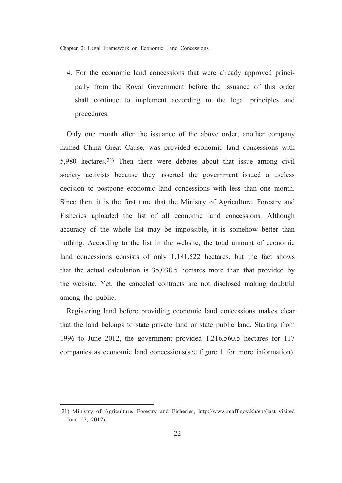4. For the economic land concessions that were already approved principally from the Royal Government before the issuance of this order shall continue to implement according to the legal principles and procedures.

Only one month after the issuance of the above order, another company named China Great Cause, was provided economic land concessions with 5.980 hectares.<sup>21)</sup> Then there were debates about that issue among civil society activists because they asserted the government issued a useless decision to postpone economic land concessions with less than one month. Since then, it is the first time that the Ministry of Agriculture, Forestry and Fisheries uploaded the list of all economic land concessions. Although accuracy of the whole list may be impossible, it is somehow better than nothing. According to the list in the website, the total amount of economic land concessions consists of only 1,181,522 hectares, but the fact shows that the actual calculation is 35,038.5 hectares more than that provided by the website. Yet, the canceled contracts are not disclosed making doubtful among the public.

Registering land before providing economic land concessions makes clear that the land belongs to state private land or state public land. Starting from 1996 to June 2012, the government provided 1,216,560.5 hectares for 117 companies as economic land concessions(see figure 1 for more information).

<sup>21)</sup> Ministry of Agriculture, Forestry and Fisheries, http://www.maff.gov.kh/en/(last visited June 27, 2012).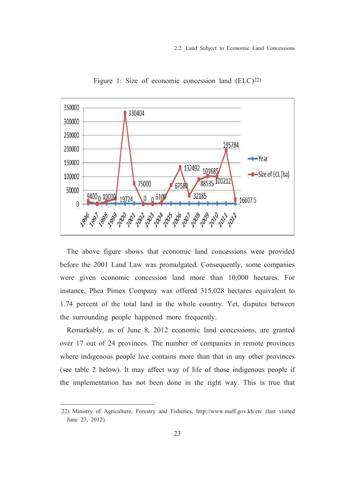

Figure 1: Size of economic concession land (ELC)<sup>22)</sup>

The above figure shows that economic land concessions were provided before the 2001 Land Law was promulgated. Consequently, some companies were given economic concession land more than 10,000 hectares. For instance, Phea Pimex Company was offered 315,028 hectares equivalent to 1.74 percent of the total land in the whole country. Yet, disputes between the surrounding people happened more frequently.

Remarkably, as of June 8, 2012 economic land concessions, are granted over 17 out of 24 provinces. The number of companies in remote provinces where indigenous people live contains more than that in any other provinces (see table 2 below). It may affect way of life of those indigenous people if the implementation has not been done in the right way. This is true that

<sup>22)</sup> Ministry of Agriculture, Forestry and Fisheries, http://www.maff.gov.kh/en/ (last visited June 27, 2012).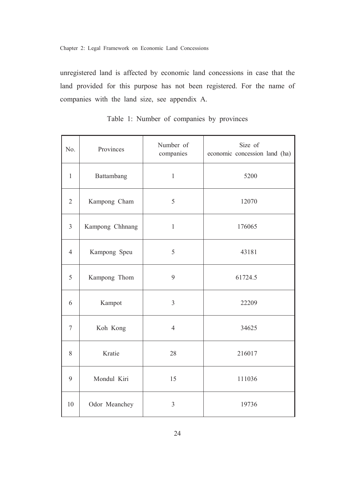unregistered land is affected by economic land concessions in case that the land provided for this purpose has not been registered. For the name of companies with the land size, see appendix A.

| No.            | Provinces       | Number of<br>companies | Size of<br>economic concession land (ha) |
|----------------|-----------------|------------------------|------------------------------------------|
| $\mathbf{1}$   | Battambang      | $\mathbf{1}$           | 5200                                     |
| $\overline{2}$ | Kampong Cham    | 5                      | 12070                                    |
| $\overline{3}$ | Kampong Chhnang | $\mathbf{1}$           | 176065                                   |
| $\overline{4}$ | Kampong Speu    | 5                      | 43181                                    |
| 5              | Kampong Thom    | 9                      | 61724.5                                  |
| 6              | Kampot          | $\overline{3}$         | 22209                                    |
| $\tau$         | Koh Kong        | $\overline{4}$         | 34625                                    |
| 8              | Kratie          | 28                     | 216017                                   |
| 9              | Mondul Kiri     | 15                     | 111036                                   |
| 10             | Odor Meanchey   | 3                      | 19736                                    |

Table 1: Number of companies by provinces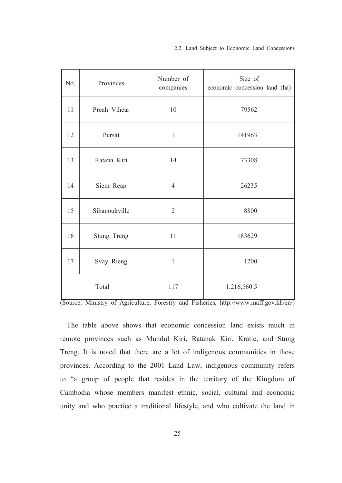| No.   | Provinces     | Number of<br>companies | Size of<br>economic concession land (ha) |
|-------|---------------|------------------------|------------------------------------------|
| 11    | Preah Vihear  | 10                     | 79562                                    |
| 12    | Pursat        | $\mathbf{1}$           | 141963                                   |
| 13    | Ratana Kiri   | 14                     | 73308                                    |
| 14    | Siem Reap     | $\overline{4}$         | 26235                                    |
| 15    | Sihanoukville | $\overline{2}$         | 8800                                     |
| 16    | Stung Treng   | 11                     | 183629                                   |
| 17    | Svay Rieng    | $\mathbf{1}$           | 1200                                     |
| Total |               | 117                    | 1,216,560.5                              |

(Source: Ministry of Agriculture, Forestry and Fisheries, http://www.maff.gov.kh/en/)

The table above shows that economic concession land exists much in remote provinces such as Mundul Kiri, Ratanak Kiri, Kratie, and Stung Treng. It is noted that there are a lot of indigenous communities in those provinces. According to the 2001 Land Law, indigenous community refers to "a group of people that resides in the territory of the Kingdom of Cambodia whose members manifest ethnic, social, cultural and economic unity and who practice a traditional lifestyle, and who cultivate the land in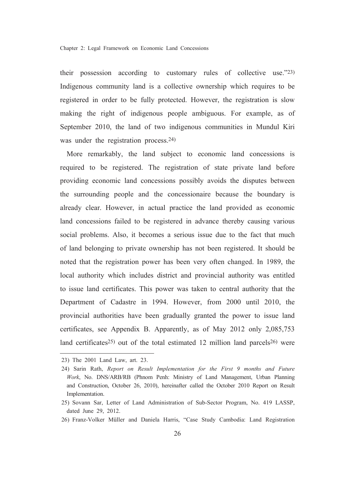their possession according to customary rules of collective use."23) Indigenous community land is a collective ownership which requires to be registered in order to be fully protected. However, the registration is slow making the right of indigenous people ambiguous. For example, as of September 2010, the land of two indigenous communities in Mundul Kiri was under the registration process.<sup>24)</sup>

More remarkably, the land subject to economic land concessions is required to be registered. The registration of state private land before providing economic land concessions possibly avoids the disputes between the surrounding people and the concessionaire because the boundary is already clear. However, in actual practice the land provided as economic land concessions failed to be registered in advance thereby causing various social problems. Also, it becomes a serious issue due to the fact that much of land belonging to private ownership has not been registered. It should be noted that the registration power has been very often changed. In 1989, the local authority which includes district and provincial authority was entitled to issue land certificates. This power was taken to central authority that the Department of Cadastre in 1994. However, from 2000 until 2010, the provincial authorities have been gradually granted the power to issue land certificates, see Appendix B. Apparently, as of May 2012 only 2,085,753 land certificates<sup>25)</sup> out of the total estimated 12 million land parcels<sup>26)</sup> were

<sup>23)</sup> The 2001 Land Law, art. 23.

<sup>24)</sup> Sarin Rath, Report on Result Implementation for the First 9 months and Future Work, No. DNS/ARB/RB (Phnom Penh: Ministry of Land Management, Urban Planning and Construction, October 26, 2010), hereinafter called the October 2010 Report on Result Implementation.

<sup>25)</sup> Sovann Sar, Letter of Land Administration of Sub-Sector Program, No. 419 LASSP, dated June 29, 2012.

<sup>26)</sup> Franz-Volker Müller and Daniela Harris, "Case Study Cambodia: Land Registration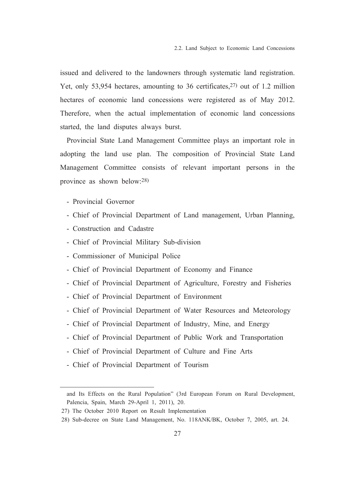issued and delivered to the landowners through systematic land registration. Yet, only 53,954 hectares, amounting to 36 certificates,  $27$  out of 1.2 million hectares of economic land concessions were registered as of May 2012. Therefore, when the actual implementation of economic land concessions started, the land disputes always burst.

Provincial State Land Management Committee plays an important role in adopting the land use plan. The composition of Provincial State Land Management Committee consists of relevant important persons in the province as shown below:28)

- Provincial Governor
- Chief of Provincial Department of Land management, Urban Planning,
- Construction and Cadastre
- Chief of Provincial Military Sub-division
- Commissioner of Municipal Police
- Chief of Provincial Department of Economy and Finance
- Chief of Provincial Department of Agriculture, Forestry and Fisheries
- Chief of Provincial Department of Environment
- Chief of Provincial Department of Water Resources and Meteorology
- Chief of Provincial Department of Industry, Mine, and Energy
- Chief of Provincial Department of Public Work and Transportation
- Chief of Provincial Department of Culture and Fine Arts
- Chief of Provincial Department of Tourism

and Its Effects on the Rural Population" (3rd European Forum on Rural Development, Palencia, Spain, March 29-April 1, 2011), 20.

<sup>27)</sup> The October 2010 Report on Result Implementation

<sup>28)</sup> Sub-decree on State Land Management, No. 118ANK/BK, October 7, 2005, art. 24.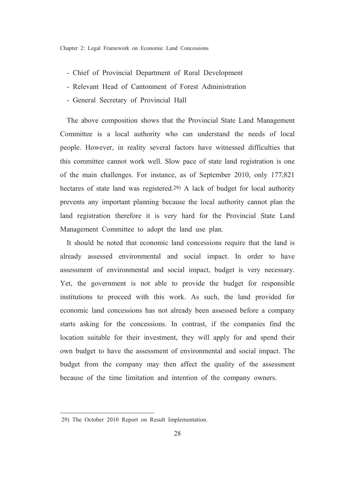- Chief of Provincial Department of Rural Development
- Relevant Head of Cantonment of Forest Administration
- General Secretary of Provincial Hall

The above composition shows that the Provincial State Land Management Committee is a local authority who can understand the needs of local people. However, in reality several factors have witnessed difficulties that this committee cannot work well. Slow pace of state land registration is one of the main challenges. For instance, as of September 2010, only 177,821 hectares of state land was registered.<sup>29)</sup> A lack of budget for local authority prevents any important planning because the local authority cannot plan the land registration therefore it is very hard for the Provincial State Land Management Committee to adopt the land use plan.

It should be noted that economic land concessions require that the land is already assessed environmental and social impact. In order to have assessment of environmental and social impact, budget is very necessary. Yet, the government is not able to provide the budget for responsible institutions to proceed with this work. As such, the land provided for economic land concessions has not already been assessed before a company starts asking for the concessions. In contrast, if the companies find the location suitable for their investment, they will apply for and spend their own budget to have the assessment of environmental and social impact. The budget from the company may then affect the quality of the assessment because of the time limitation and intention of the company owners.

<sup>29)</sup> The October 2010 Report on Result Implementation.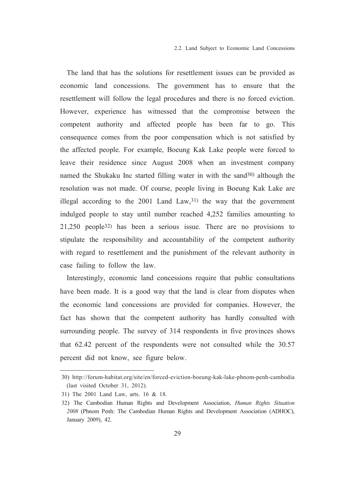The land that has the solutions for resettlement issues can be provided as economic land concessions. The government has to ensure that the resettlement will follow the legal procedures and there is no forced eviction. However, experience has witnessed that the compromise between the competent authority and affected people has been far to go. This consequence comes from the poor compensation which is not satisfied by the affected people. For example, Boeung Kak Lake people were forced to leave their residence since August 2008 when an investment company named the Shukaku Inc started filling water in with the sand<sup>30</sup> although the resolution was not made. Of course, people living in Boeung Kak Lake are illegal according to the  $2001$  Land Law,  $31$  the way that the government indulged people to stay until number reached 4,252 families amounting to  $21,250$  people<sup>32)</sup> has been a serious issue. There are no provisions to stipulate the responsibility and accountability of the competent authority with regard to resettlement and the punishment of the relevant authority in case failing to follow the law.

Interestingly, economic land concessions require that public consultations have been made. It is a good way that the land is clear from disputes when the economic land concessions are provided for companies. However, the fact has shown that the competent authority has hardly consulted with surrounding people. The survey of 314 respondents in five provinces shows that 62.42 percent of the respondents were not consulted while the 30.57 percent did not know, see figure below.

<sup>30)</sup> http://forum-habitat.org/site/en/forced-eviction-boeung-kak-lake-phnom-penh-cambodia (last visited October 31, 2012).

<sup>31)</sup> The 2001 Land Law, arts. 16 & 18.

<sup>32)</sup> The Cambodian Human Rights and Development Association, *Human Rights Situation* 2008 (Phnom Penh: The Cambodian Human Rights and Development Association (ADHOC), January 2009), 42.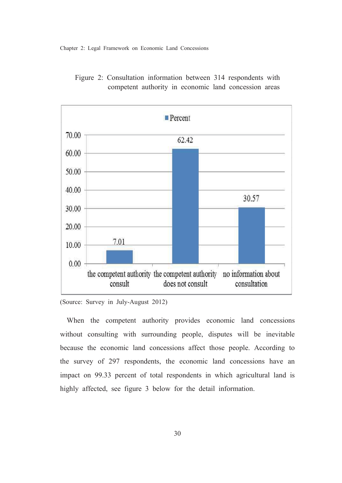Chapter 2: Legal Framework on Economic Land Concessions



Figure 2: Consultation information between 314 respondents with competent authority in economic land concession areas

When the competent authority provides economic land concessions without consulting with surrounding people, disputes will be inevitable because the economic land concessions affect those people. According to the survey of 297 respondents, the economic land concessions have an impact on 99.33 percent of total respondents in which agricultural land is highly affected, see figure 3 below for the detail information.

<sup>(</sup>Source: Survey in July-August 2012)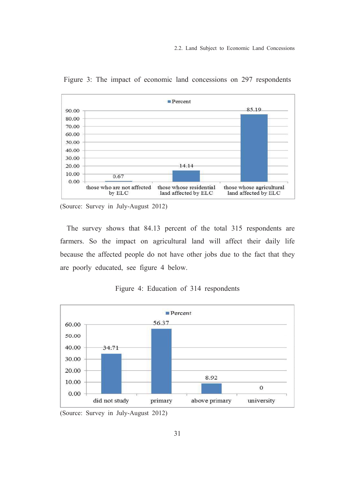

Figure 3: The impact of economic land concessions on 297 respondents

(Source: Survey in July-August 2012)

The survey shows that 84.13 percent of the total 315 respondents are farmers. So the impact on agricultural land will affect their daily life because the affected people do not have other jobs due to the fact that they are poorly educated, see figure 4 below.



Figure 4: Education of 314 respondents

(Source: Survey in July-August 2012)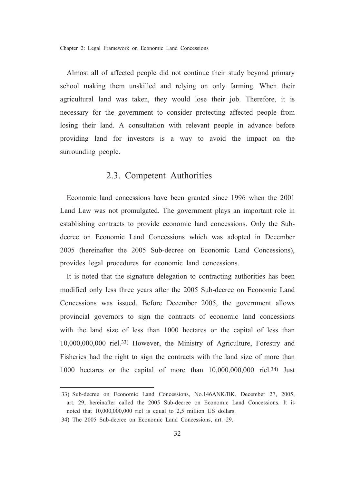Chapter 2: Legal Framework on Economic Land Concessions

Almost all of affected people did not continue their study beyond primary school making them unskilled and relying on only farming. When their agricultural land was taken, they would lose their job. Therefore, it is necessary for the government to consider protecting affected people from losing their land. A consultation with relevant people in advance before providing land for investors is a way to avoid the impact on the surrounding people.

#### 2.3. Competent Authorities

Economic land concessions have been granted since 1996 when the 2001 Land Law was not promulgated. The government plays an important role in establishing contracts to provide economic land concessions. Only the Subdecree on Economic Land Concessions which was adopted in December 2005 (hereinafter the 2005 Sub-decree on Economic Land Concessions), provides legal procedures for economic land concessions.

It is noted that the signature delegation to contracting authorities has been modified only less three years after the 2005 Sub-decree on Economic Land Concessions was issued. Before December 2005, the government allows provincial governors to sign the contracts of economic land concessions with the land size of less than 1000 hectares or the capital of less than 10,000,000,000 riel.33) However, the Ministry of Agriculture, Forestry and Fisheries had the right to sign the contracts with the land size of more than 1000 hectares or the capital of more than  $10,000,000,000$  riel.<sup>34)</sup> Just

<sup>33)</sup> Sub-decree on Economic Land Concessions, No.146ANK/BK, December 27, 2005, art. 29. hereinafter called the 2005 Sub-decree on Economic Land Concessions. It is noted that 10,000,000,000 riel is equal to 2,5 million US dollars.

<sup>34)</sup> The 2005 Sub-decree on Economic Land Concessions, art. 29.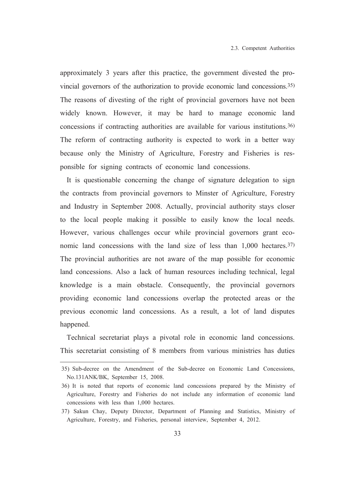approximately 3 years after this practice, the government divested the provincial governors of the authorization to provide economic land concessions.<sup>35)</sup> The reasons of divesting of the right of provincial governors have not been widely known. However, it may be hard to manage economic land concessions if contracting authorities are available for various institutions.<sup>36)</sup> The reform of contracting authority is expected to work in a better way because only the Ministry of Agriculture, Forestry and Fisheries is responsible for signing contracts of economic land concessions.

It is questionable concerning the change of signature delegation to sign the contracts from provincial governors to Minster of Agriculture, Forestry and Industry in September 2008. Actually, provincial authority stays closer to the local people making it possible to easily know the local needs. However, various challenges occur while provincial governors grant economic land concessions with the land size of less than 1,000 hectares.<sup>37)</sup> The provincial authorities are not aware of the map possible for economic land concessions. Also a lack of human resources including technical, legal knowledge is a main obstacle. Consequently, the provincial governors providing economic land concessions overlap the protected areas or the previous economic land concessions. As a result, a lot of land disputes happened.

Technical secretariat plays a pivotal role in economic land concessions. This secretariat consisting of 8 members from various ministries has duties

<sup>35)</sup> Sub-decree on the Amendment of the Sub-decree on Economic Land Concessions. No.131ANK/BK, September 15, 2008.

<sup>36)</sup> It is noted that reports of economic land concessions prepared by the Ministry of Agriculture. Forestry and Fisheries do not include any information of economic land concessions with less than 1,000 hectares.

<sup>37)</sup> Sakun Chay, Deputy Director, Department of Planning and Statistics, Ministry of Agriculture, Forestry, and Fisheries, personal interview, September 4, 2012.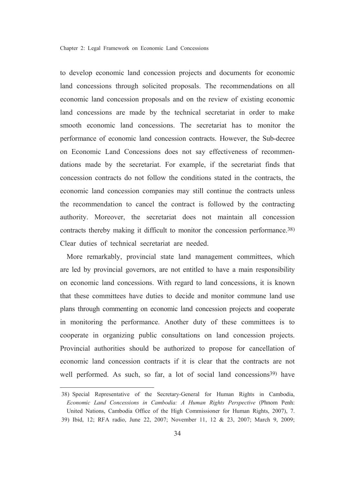to develop economic land concession projects and documents for economic land concessions through solicited proposals. The recommendations on all economic land concession proposals and on the review of existing economic land concessions are made by the technical secretariat in order to make smooth economic land concessions. The secretariat has to monitor the performance of economic land concession contracts. However, the Sub-decree on Economic Land Concessions does not say effectiveness of recommendations made by the secretariat. For example, if the secretariat finds that concession contracts do not follow the conditions stated in the contracts, the economic land concession companies may still continue the contracts unless the recommendation to cancel the contract is followed by the contracting authority. Moreover, the secretariat does not maintain all concession contracts thereby making it difficult to monitor the concession performance.<sup>38)</sup> Clear duties of technical secretariat are needed

More remarkably, provincial state land management committees, which are led by provincial governors, are not entitled to have a main responsibility on economic land concessions. With regard to land concessions, it is known that these committees have duties to decide and monitor commune land use plans through commenting on economic land concession projects and cooperate in monitoring the performance. Another duty of these committees is to cooperate in organizing public consultations on land concession projects. Provincial authorities should be authorized to propose for cancellation of economic land concession contracts if it is clear that the contracts are not well performed. As such, so far, a lot of social land concessions<sup>39)</sup> have

<sup>38)</sup> Special Representative of the Secretary-General for Human Rights in Cambodia, Economic Land Concessions in Cambodia: A Human Rights Perspective (Phnom Penh: United Nations, Cambodia Office of the High Commissioner for Human Rights, 2007), 7. 39) Ibid, 12; RFA radio, June 22, 2007; November 11, 12 & 23, 2007; March 9, 2009;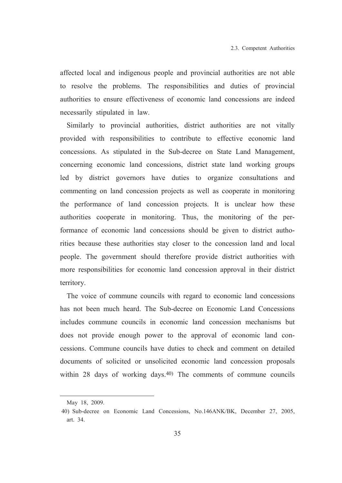affected local and indigenous people and provincial authorities are not able to resolve the problems. The responsibilities and duties of provincial authorities to ensure effectiveness of economic land concessions are indeed necessarily stipulated in law.

Similarly to provincial authorities, district authorities are not vitally provided with responsibilities to contribute to effective economic land concessions. As stipulated in the Sub-decree on State Land Management, concerning economic land concessions, district state land working groups led by district governors have duties to organize consultations and commenting on land concession projects as well as cooperate in monitoring the performance of land concession projects. It is unclear how these authorities cooperate in monitoring. Thus, the monitoring of the performance of economic land concessions should be given to district authorities because these authorities stay closer to the concession land and local people. The government should therefore provide district authorities with more responsibilities for economic land concession approval in their district territory.

The voice of commune councils with regard to economic land concessions has not been much heard. The Sub-decree on Economic Land Concessions includes commune councils in economic land concession mechanisms but does not provide enough power to the approval of economic land concessions. Commune councils have duties to check and comment on detailed documents of solicited or unsolicited economic land concession proposals within 28 days of working days.<sup>40</sup> The comments of commune councils

May 18, 2009.

<sup>40)</sup> Sub-decree on Economic Land Concessions, No.146ANK/BK, December 27, 2005, art. 34.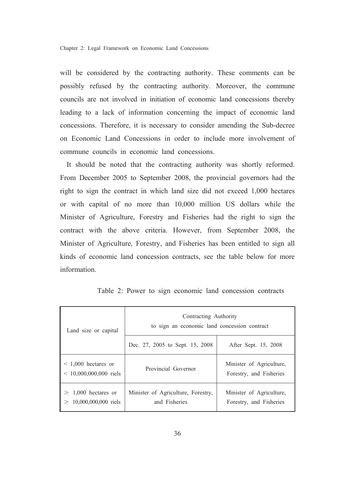will be considered by the contracting authority. These comments can be possibly refused by the contracting authority. Moreover, the commune councils are not involved in initiation of economic land concessions thereby leading to a lack of information concerning the impact of economic land concessions. Therefore, it is necessary to consider amending the Sub-decree on Economic Land Concessions in order to include more involvement of commune councils in economic land concessions.

It should be noted that the contracting authority was shortly reformed. From December 2005 to September 2008, the provincial governors had the right to sign the contract in which land size did not exceed 1,000 hectares or with capital of no more than 10,000 million US dollars while the Minister of Agriculture, Forestry and Fisheries had the right to sign the contract with the above criteria. However, from September 2008, the Minister of Agriculture, Forestry, and Fisheries has been entitled to sign all kinds of economic land concession contracts, see the table below for more information

| Land size or capital                                    | Contracting Authority<br>to sign an economic land concession contract |                                                     |  |
|---------------------------------------------------------|-----------------------------------------------------------------------|-----------------------------------------------------|--|
|                                                         | Dec. 27, 2005 to Sept. 15, 2008                                       | After Sept. 15, 2008                                |  |
| $\leq$ 1,000 hectares or<br>$< 10,000,000,000$ riels    | Provincial Governor                                                   | Minister of Agriculture,<br>Forestry, and Fisheries |  |
| $\geq 1,000$ hectares or<br>$\geq 10,000,000,000$ riels | Minister of Agriculture, Forestry,<br>and Fisheries                   | Minister of Agriculture,<br>Forestry, and Fisheries |  |

Table 2: Power to sign economic land concession contracts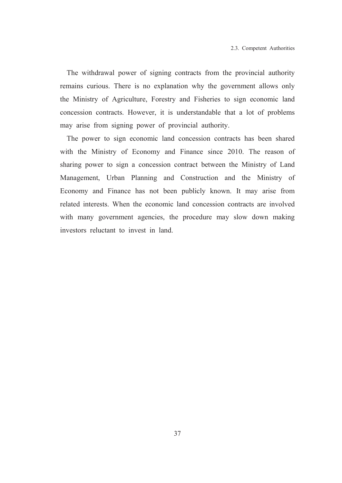The withdrawal power of signing contracts from the provincial authority remains curious. There is no explanation why the government allows only the Ministry of Agriculture, Forestry and Fisheries to sign economic land concession contracts. However, it is understandable that a lot of problems may arise from signing power of provincial authority.

The power to sign economic land concession contracts has been shared with the Ministry of Economy and Finance since 2010. The reason of sharing power to sign a concession contract between the Ministry of Land Management, Urban Planning and Construction and the Ministry of Economy and Finance has not been publicly known. It may arise from related interests. When the economic land concession contracts are involved with many government agencies, the procedure may slow down making investors reluctant to invest in land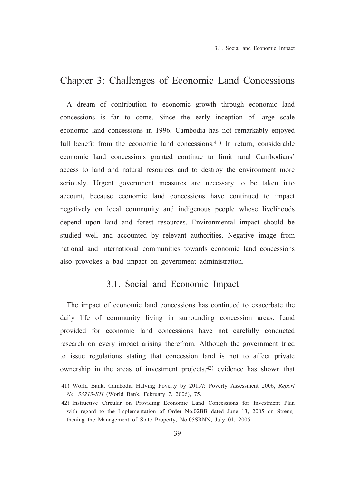## Chapter 3: Challenges of Economic Land Concessions

A dream of contribution to economic growth through economic land concessions is far to come. Since the early inception of large scale economic land concessions in 1996, Cambodia has not remarkably enjoyed full benefit from the economic land concessions.<sup>41)</sup> In return, considerable economic land concessions granted continue to limit rural Cambodians' access to land and natural resources and to destroy the environment more seriously. Urgent government measures are necessary to be taken into account, because economic land concessions have continued to impact negatively on local community and indigenous people whose livelihoods depend upon land and forest resources. Environmental impact should be studied well and accounted by relevant authorities. Negative image from national and international communities towards economic land concessions also provokes a bad impact on government administration.

### 3.1. Social and Economic Impact

The impact of economic land concessions has continued to exacerbate the daily life of community living in surrounding concession areas. Land provided for economic land concessions have not carefully conducted research on every impact arising therefrom. Although the government tried to issue regulations stating that concession land is not to affect private ownership in the areas of investment projects,<sup>42)</sup> evidence has shown that

<sup>41)</sup> World Bank, Cambodia Halving Poverty by 2015?: Poverty Assessment 2006, Report No. 35213-KH (World Bank, February 7, 2006), 75.

<sup>42)</sup> Instructive Circular on Providing Economic Land Concessions for Investment Plan with regard to the Implementation of Order No.02BB dated June 13, 2005 on Strengthening the Management of State Property, No.05SRNN, July 01, 2005.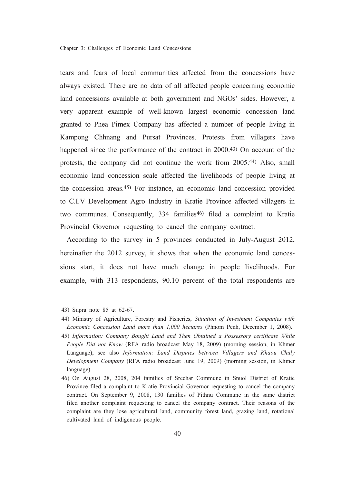tears and fears of local communities affected from the concessions have always existed. There are no data of all affected people concerning economic land concessions available at both government and NGOs' sides. However, a very apparent example of well-known largest economic concession land granted to Phea Pimex Company has affected a number of people living in Kampong Chhnang and Pursat Provinces. Protests from villagers have happened since the performance of the contract in 2000.<sup>43</sup> On account of the protests, the company did not continue the work from 2005.<sup>44)</sup> Also, small economic land concession scale affected the livelihoods of people living at the concession areas.<sup>45)</sup> For instance, an economic land concession provided to C.I.V Development Agro Industry in Kratie Province affected villagers in two communes. Consequently, 334 families<sup>46)</sup> filed a complaint to Kratie Provincial Governor requesting to cancel the company contract.

According to the survey in 5 provinces conducted in July-August 2012, hereinafter the 2012 survey, it shows that when the economic land concessions start, it does not have much change in people livelihoods. For example, with 313 respondents, 90.10 percent of the total respondents are

<sup>43)</sup> Supra note 85 at 62-67.

<sup>44)</sup> Ministry of Agriculture, Forestry and Fisheries, Situation of Investment Companies with Economic Concession Land more than 1,000 hectares (Phnom Penh, December 1, 2008).

<sup>45)</sup> Information: Company Bought Land and Then Obtained a Possessory certificate While People Did not Know (RFA radio broadcast May 18, 2009) (morning session, in Khmer Language); see also *Information: Land Disputes between Villagers and Khaou Chuly* Development Company (RFA radio broadcast June 19, 2009) (morning session, in Khmer language).

<sup>46)</sup> On August 28, 2008, 204 families of Srechar Commune in Snuol District of Kratie Province filed a complaint to Kratie Provincial Governor requesting to cancel the company contract. On September 9, 2008, 130 families of Pithnu Commune in the same district filed another complaint requesting to cancel the company contract. Their reasons of the complaint are they lose agricultural land, community forest land, grazing land, rotational cultivated land of indigenous people.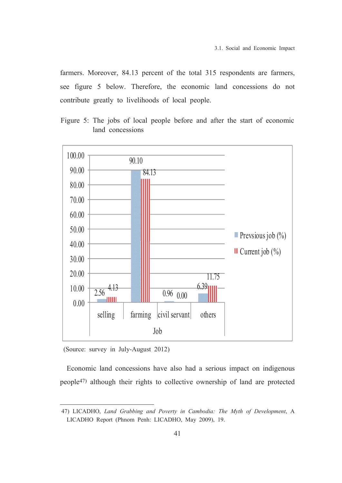farmers. Moreover, 84.13 percent of the total 315 respondents are farmers, see figure 5 below. Therefore, the economic land concessions do not contribute greatly to livelihoods of local people.

Figure 5: The jobs of local people before and after the start of economic land concessions



(Source: survey in July-August 2012)

Economic land concessions have also had a serious impact on indigenous people<sup>47)</sup> although their rights to collective ownership of land are protected

<sup>47)</sup> LICADHO, Land Grabbing and Poverty in Cambodia: The Myth of Development, A LICADHO Report (Phnom Penh: LICADHO, May 2009), 19.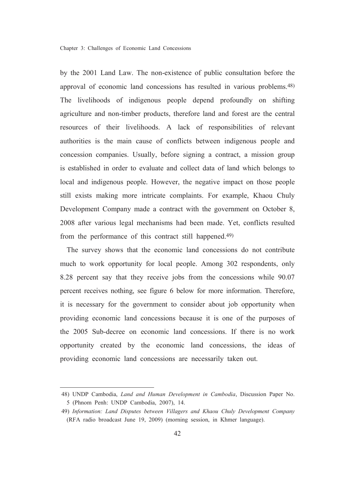by the 2001 Land Law. The non-existence of public consultation before the approval of economic land concessions has resulted in various problems.<sup>48)</sup> The livelihoods of indigenous people depend profoundly on shifting agriculture and non-timber products, therefore land and forest are the central resources of their livelihoods. A lack of responsibilities of relevant authorities is the main cause of conflicts between indigenous people and concession companies. Usually, before signing a contract, a mission group is established in order to evaluate and collect data of land which belongs to local and indigenous people. However, the negative impact on those people still exists making more intricate complaints. For example, Khaou Chuly Development Company made a contract with the government on October 8, 2008 after various legal mechanisms had been made. Yet, conflicts resulted from the performance of this contract still happened.<sup>49)</sup>

The survey shows that the economic land concessions do not contribute much to work opportunity for local people. Among 302 respondents, only 8.28 percent say that they receive jobs from the concessions while 90.07 percent receives nothing, see figure 6 below for more information. Therefore, it is necessary for the government to consider about job opportunity when providing economic land concessions because it is one of the purposes of the 2005 Sub-decree on economic land concessions. If there is no work opportunity created by the economic land concessions, the ideas of providing economic land concessions are necessarily taken out.

<sup>48)</sup> UNDP Cambodia, Land and Human Development in Cambodia, Discussion Paper No. 5 (Phnom Penh: UNDP Cambodia, 2007), 14.

<sup>49)</sup> Information: Land Disputes between Villagers and Khaou Chuly Development Company (RFA radio broadcast June 19, 2009) (morning session, in Khmer language).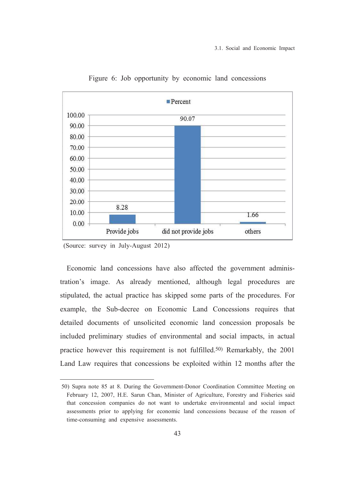

Figure 6: Job opportunity by economic land concessions

(Source: survey in July-August 2012)

Economic land concessions have also affected the government administration's image. As already mentioned, although legal procedures are stipulated, the actual practice has skipped some parts of the procedures. For example, the Sub-decree on Economic Land Concessions requires that detailed documents of unsolicited economic land concession proposals be included preliminary studies of environmental and social impacts, in actual practice however this requirement is not fulfilled.<sup>50)</sup> Remarkably, the 2001 Land Law requires that concessions be exploited within 12 months after the

<sup>50)</sup> Supra note 85 at 8. During the Government-Donor Coordination Committee Meeting on February 12, 2007, H.E. Sarun Chan, Minister of Agriculture, Forestry and Fisheries said that concession companies do not want to undertake environmental and social impact assessments prior to applying for economic land concessions because of the reason of time-consuming and expensive assessments.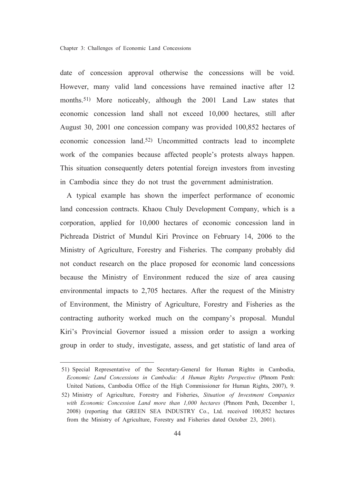date of concession approval otherwise the concessions will be void. However, many valid land concessions have remained inactive after 12 months.<sup>51)</sup> More noticeably, although the 2001 Land Law states that economic concession land shall not exceed 10,000 hectares, still after August 30, 2001 one concession company was provided 100,852 hectares of economic concession land.<sup>52)</sup> Uncommitted contracts lead to incomplete work of the companies because affected people's protests always happen. This situation consequently deters potential foreign investors from investing in Cambodia since they do not trust the government administration.

A typical example has shown the imperfect performance of economic land concession contracts. Khaou Chuly Development Company, which is a corporation, applied for 10,000 hectares of economic concession land in Pichreada District of Mundul Kiri Province on February 14, 2006 to the Ministry of Agriculture, Forestry and Fisheries. The company probably did not conduct research on the place proposed for economic land concessions because the Ministry of Environment reduced the size of area causing environmental impacts to 2,705 hectares. After the request of the Ministry of Environment, the Ministry of Agriculture, Forestry and Fisheries as the contracting authority worked much on the company's proposal. Mundul Kiri's Provincial Governor issued a mission order to assign a working group in order to study, investigate, assess, and get statistic of land area of

51) Special Representative of the Secretary-General for Human Rights in Cambodia, Economic Land Concessions in Cambodia: A Human Rights Perspective (Phnom Penh: United Nations, Cambodia Office of the High Commissioner for Human Rights, 2007), 9. 52) Ministry of Agriculture, Forestry and Fisheries, Situation of Investment Companies with Economic Concession Land more than 1,000 hectares (Phnom Penh, December 1, 2008) (reporting that GREEN SEA INDUSTRY Co., Ltd. received 100,852 hectares from the Ministry of Agriculture, Forestry and Fisheries dated October 23, 2001).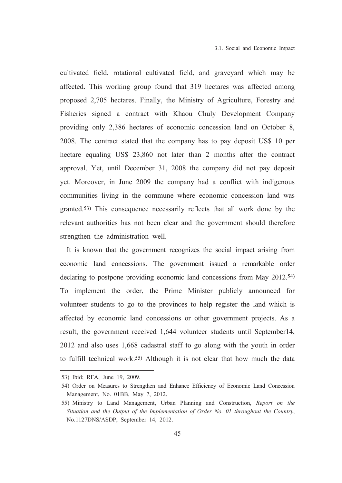cultivated field, rotational cultivated field, and graveyard which may be affected. This working group found that 319 hectares was affected among proposed 2,705 hectares. Finally, the Ministry of Agriculture, Forestry and Fisheries signed a contract with Khaou Chuly Development Company providing only 2,386 hectares of economic concession land on October 8, 2008. The contract stated that the company has to pay deposit US\$ 10 per hectare equaling US\$ 23,860 not later than 2 months after the contract approval. Yet, until December 31, 2008 the company did not pay deposit yet. Moreover, in June 2009 the company had a conflict with indigenous communities living in the commune where economic concession land was granted.<sup>53)</sup> This consequence necessarily reflects that all work done by the relevant authorities has not been clear and the government should therefore strengthen the administration well.

It is known that the government recognizes the social impact arising from economic land concessions. The government issued a remarkable order declaring to postpone providing economic land concessions from May 2012.<sup>54)</sup> To implement the order, the Prime Minister publicly announced for volunteer students to go to the provinces to help register the land which is affected by economic land concessions or other government projects. As a result, the government received 1,644 volunteer students until September14, 2012 and also uses 1,668 cadastral staff to go along with the youth in order to fulfill technical work.<sup>55)</sup> Although it is not clear that how much the data

<sup>53)</sup> Ibid; RFA, June 19, 2009.

<sup>54)</sup> Order on Measures to Strengthen and Enhance Efficiency of Economic Land Concession Management, No. 01BB, May 7, 2012.

<sup>55)</sup> Ministry to Land Management, Urban Planning and Construction, Report on the Situation and the Output of the Implementation of Order No. 01 throughout the Country, No.1127DNS/ASDP, September 14, 2012.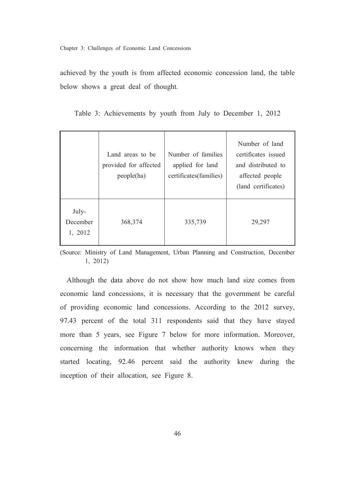achieved by the youth is from affected economic concession land, the table below shows a great deal of thought.

Number of land Land areas to be Number of families certificates issued provided for affected applied for land and distributed to certificates(families) affected people  $people(ha)$ (land certificates) July-December 368,374 335,739 29,297 1, 2012

Table 3: Achievements by youth from July to December 1, 2012

(Source: Ministry of Land Management, Urban Planning and Construction, December  $1, 2012$ 

Although the data above do not show how much land size comes from economic land concessions, it is necessary that the government be careful of providing economic land concessions. According to the 2012 survey, 97.43 percent of the total 311 respondents said that they have stayed more than 5 years, see Figure 7 below for more information. Moreover, concerning the information that whether authority knows when they started locating, 92.46 percent said the authority knew during the inception of their allocation, see Figure 8.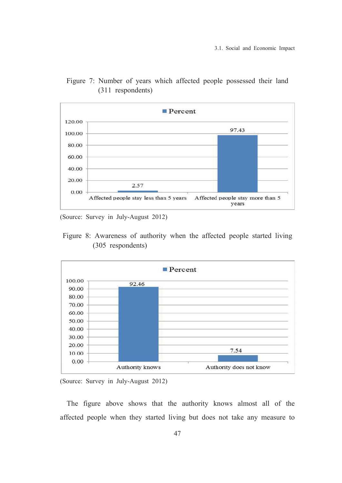

Figure 7: Number of years which affected people possessed their land (311 respondents)

(Source: Survey in July-August 2012)

Figure 8: Awareness of authority when the affected people started living (305 respondents)



<sup>(</sup>Source: Survey in July-August 2012)

The figure above shows that the authority knows almost all of the affected people when they started living but does not take any measure to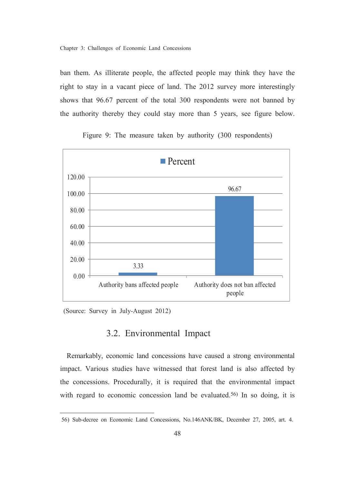ban them. As illiterate people, the affected people may think they have the right to stay in a vacant piece of land. The 2012 survey more interestingly shows that 96.67 percent of the total 300 respondents were not banned by the authority thereby they could stay more than 5 years, see figure below.



Figure 9: The measure taken by authority (300 respondents)

(Source: Survey in July-August 2012)

## 3.2. Environmental Impact

Remarkably, economic land concessions have caused a strong environmental impact. Various studies have witnessed that forest land is also affected by the concessions. Procedurally, it is required that the environmental impact with regard to economic concession land be evaluated.<sup>56)</sup> In so doing, it is

<sup>56)</sup> Sub-decree on Economic Land Concessions, No.146ANK/BK, December 27, 2005, art. 4.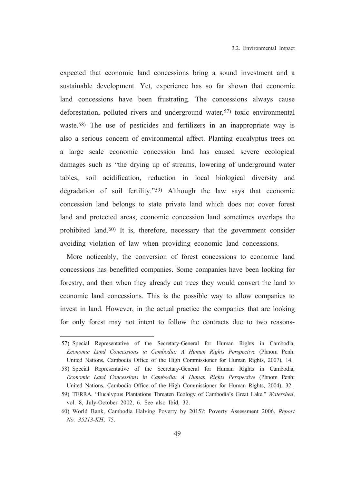expected that economic land concessions bring a sound investment and a sustainable development. Yet, experience has so far shown that economic land concessions have been frustrating. The concessions always cause deforestation, polluted rivers and underground water,<sup>57)</sup> toxic environmental waste.<sup>58)</sup> The use of pesticides and fertilizers in an inappropriate way is also a serious concern of environmental affect. Planting eucalyptus trees on a large scale economic concession land has caused severe ecological damages such as "the drying up of streams, lowering of underground water tables, soil acidification, reduction in local biological diversity and degradation of soil fertility."<sup>59</sup>) Although the law says that economic concession land belongs to state private land which does not cover forest land and protected areas, economic concession land sometimes overlaps the prohibited land.<sup>60</sup>) It is, therefore, necessary that the government consider avoiding violation of law when providing economic land concessions.

More noticeably, the conversion of forest concessions to economic land concessions has benefitted companies. Some companies have been looking for forestry, and then when they already cut trees they would convert the land to economic land concessions. This is the possible way to allow companies to invest in land. However, in the actual practice the companies that are looking for only forest may not intent to follow the contracts due to two reasons-

<sup>57)</sup> Special Representative of the Secretary-General for Human Rights in Cambodia, Economic Land Concessions in Cambodia: A Human Rights Perspective (Phnom Penh: United Nations, Cambodia Office of the High Commissioner for Human Rights, 2007), 14.

<sup>58)</sup> Special Representative of the Secretary-General for Human Rights in Cambodia, Economic Land Concessions in Cambodia: A Human Rights Perspective (Phnom Penh: United Nations, Cambodia Office of the High Commissioner for Human Rights, 2004), 32.

<sup>59)</sup> TERRA, "Eucalyptus Plantations Threaten Ecology of Cambodia's Great Lake," Watershed, vol. 8, July-October 2002, 6. See also Ibid, 32.

<sup>60)</sup> World Bank, Cambodia Halving Poverty by 2015?: Poverty Assessment 2006, Report No. 35213-KH, 75.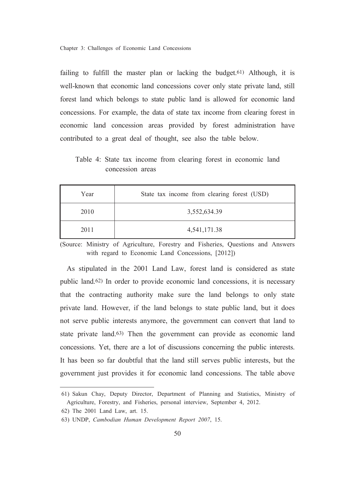failing to fulfill the master plan or lacking the budget.<sup>61</sup>) Although, it is well-known that economic land concessions cover only state private land, still forest land which belongs to state public land is allowed for economic land concessions. For example, the data of state tax income from clearing forest in economic land concession areas provided by forest administration have contributed to a great deal of thought, see also the table below.

Table 4: State tax income from clearing forest in economic land concession areas

| Year | State tax income from clearing forest (USD) |
|------|---------------------------------------------|
| 2010 | 3,552,634.39                                |
| 2011 | 4,541,171.38                                |

(Source: Ministry of Agriculture, Forestry and Fisheries, Questions and Answers with regard to Economic Land Concessions, [2012])

As stipulated in the 2001 Land Law, forest land is considered as state public land.<sup>62)</sup> In order to provide economic land concessions, it is necessary that the contracting authority make sure the land belongs to only state private land. However, if the land belongs to state public land, but it does not serve public interests anymore, the government can convert that land to state private land.<sup>63</sup>) Then the government can provide as economic land concessions. Yet, there are a lot of discussions concerning the public interests. It has been so far doubtful that the land still serves public interests, but the government just provides it for economic land concessions. The table above

<sup>61)</sup> Sakun Chay, Deputy Director, Department of Planning and Statistics, Ministry of Agriculture, Forestry, and Fisheries, personal interview, September 4, 2012.

<sup>62)</sup> The 2001 Land Law, art. 15.

<sup>63)</sup> UNDP, Cambodian Human Development Report 2007, 15.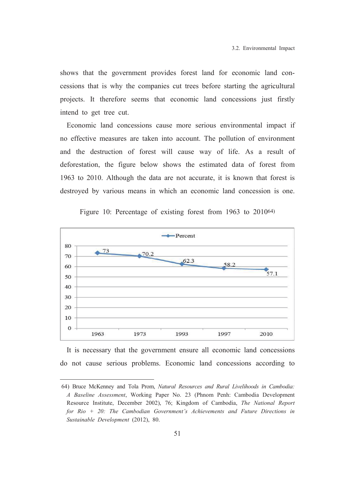shows that the government provides forest land for economic land concessions that is why the companies cut trees before starting the agricultural projects. It therefore seems that economic land concessions just firstly intend to get tree cut.

Economic land concessions cause more serious environmental impact if no effective measures are taken into account. The pollution of environment and the destruction of forest will cause way of life. As a result of deforestation, the figure below shows the estimated data of forest from 1963 to 2010. Although the data are not accurate, it is known that forest is destroyed by various means in which an economic land concession is one.



Figure 10: Percentage of existing forest from 1963 to 2010<sup>64)</sup>

It is necessary that the government ensure all economic land concessions do not cause serious problems. Economic land concessions according to

<sup>64)</sup> Bruce McKenney and Tola Prom, Natural Resources and Rural Livelihoods in Cambodia: A Baseline Assessment, Working Paper No. 23 (Phnom Penh: Cambodia Development Resource Institute, December 2002), 76; Kingdom of Cambodia, The National Report for Rio  $+$  20: The Cambodian Government's Achievements and Future Directions in Sustainable Development (2012), 80.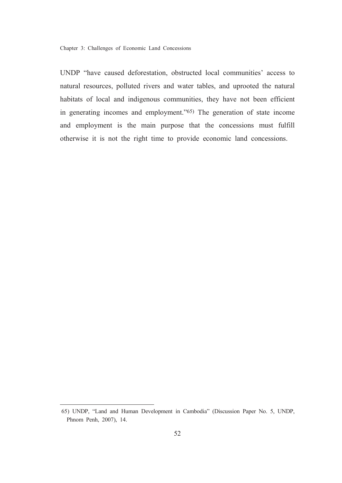UNDP "have caused deforestation, obstructed local communities' access to natural resources, polluted rivers and water tables, and uprooted the natural habitats of local and indigenous communities, they have not been efficient in generating incomes and employment."<sup>65)</sup> The generation of state income and employment is the main purpose that the concessions must fulfill otherwise it is not the right time to provide economic land concessions.

<sup>65)</sup> UNDP, "Land and Human Development in Cambodia" (Discussion Paper No. 5, UNDP, Phnom Penh, 2007), 14.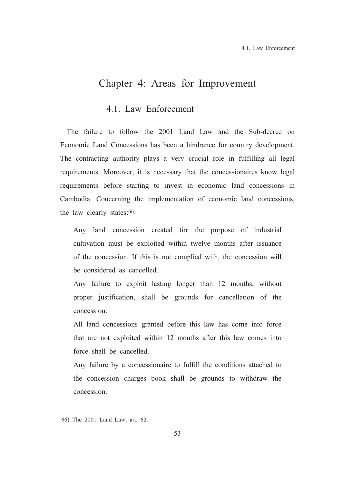## Chapter 4: Areas for Improvement

## 4.1. Law Enforcement

The failure to follow the 2001 Land Law and the Sub-decree on Economic Land Concessions has been a hindrance for country development. The contracting authority plays a very crucial role in fulfilling all legal requirements. Moreover, it is necessary that the concessionaires know legal requirements before starting to invest in economic land concessions in Cambodia. Concerning the implementation of economic land concessions, the law clearly states: 66)

Any land concession created for the purpose of industrial cultivation must be exploited within twelve months after issuance of the concession. If this is not complied with, the concession will be considered as cancelled.

Any failure to exploit lasting longer than 12 months, without proper justification, shall be grounds for cancellation of the concession.

All land concessions granted before this law has come into force that are not exploited within 12 months after this law comes into force shall be cancelled.

Any failure by a concessionaire to fulfill the conditions attached to the concession charges book shall be grounds to withdraw the concession

<sup>66)</sup> The 2001 Land Law, art. 62.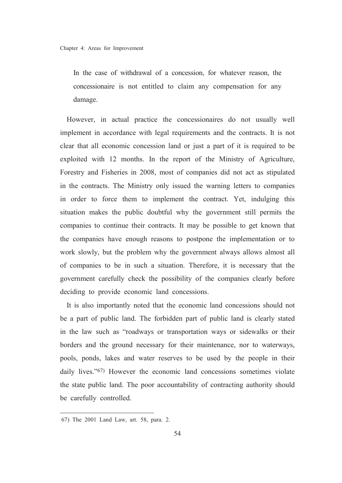In the case of withdrawal of a concession, for whatever reason, the concessionaire is not entitled to claim any compensation for any damage.

However, in actual practice the concessionaires do not usually well implement in accordance with legal requirements and the contracts. It is not clear that all economic concession land or just a part of it is required to be exploited with 12 months. In the report of the Ministry of Agriculture, Forestry and Fisheries in 2008, most of companies did not act as stipulated in the contracts. The Ministry only issued the warning letters to companies in order to force them to implement the contract. Yet, indulging this situation makes the public doubtful why the government still permits the companies to continue their contracts. It may be possible to get known that the companies have enough reasons to postpone the implementation or to work slowly, but the problem why the government always allows almost all of companies to be in such a situation. Therefore, it is necessary that the government carefully check the possibility of the companies clearly before deciding to provide economic land concessions.

It is also importantly noted that the economic land concessions should not be a part of public land. The forbidden part of public land is clearly stated in the law such as "roadways or transportation ways or sidewalks or their borders and the ground necessary for their maintenance, nor to waterways, pools, ponds, lakes and water reserves to be used by the people in their daily lives."<sup>67</sup>) However the economic land concessions sometimes violate the state public land. The poor accountability of contracting authority should be carefully controlled.

<sup>67)</sup> The 2001 Land Law, art. 58, para. 2.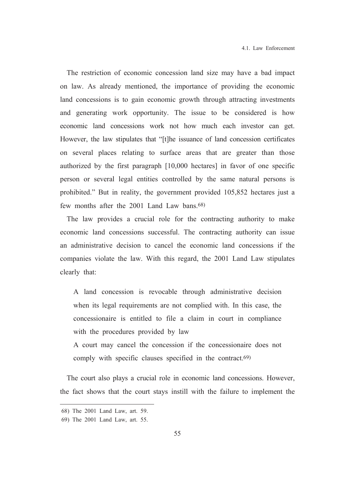The restriction of economic concession land size may have a bad impact on law. As already mentioned, the importance of providing the economic land concessions is to gain economic growth through attracting investments and generating work opportunity. The issue to be considered is how economic land concessions work not how much each investor can get. However, the law stipulates that "[t] he issuance of land concession certificates on several places relating to surface areas that are greater than those authorized by the first paragraph [10,000 hectares] in favor of one specific person or several legal entities controlled by the same natural persons is prohibited." But in reality, the government provided 105,852 hectares just a few months after the 2001 Land Law bans.<sup>68)</sup>

The law provides a crucial role for the contracting authority to make economic land concessions successful. The contracting authority can issue an administrative decision to cancel the economic land concessions if the companies violate the law. With this regard, the 2001 Land Law stipulates clearly that:

A land concession is revocable through administrative decision when its legal requirements are not complied with. In this case, the concessionaire is entitled to file a claim in court in compliance with the procedures provided by law

A court may cancel the concession if the concessionaire does not comply with specific clauses specified in the contract.<sup>69)</sup>

The court also plays a crucial role in economic land concessions. However, the fact shows that the court stays instill with the failure to implement the

<sup>68)</sup> The 2001 Land Law, art. 59.

<sup>69)</sup> The 2001 Land Law, art. 55.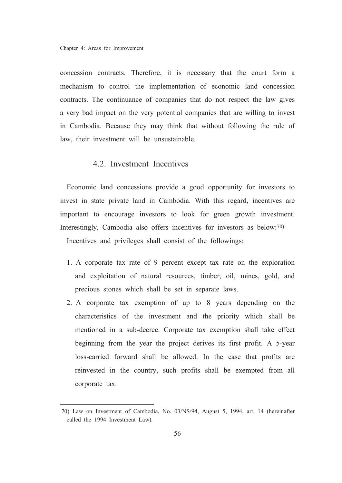concession contracts. Therefore, it is necessary that the court form a mechanism to control the implementation of economic land concession contracts. The continuance of companies that do not respect the law gives a very bad impact on the very potential companies that are willing to invest in Cambodia. Because they may think that without following the rule of law, their investment will be unsustainable.

### 4.2. Investment Incentives

Economic land concessions provide a good opportunity for investors to invest in state private land in Cambodia. With this regard, incentives are important to encourage investors to look for green growth investment. Interestingly, Cambodia also offers incentives for investors as below:70)

Incentives and privileges shall consist of the followings:

- 1. A corporate tax rate of 9 percent except tax rate on the exploration and exploitation of natural resources, timber, oil, mines, gold, and precious stones which shall be set in separate laws.
- 2. A corporate tax exemption of up to 8 years depending on the characteristics of the investment and the priority which shall be mentioned in a sub-decree. Corporate tax exemption shall take effect beginning from the year the project derives its first profit. A 5-year loss-carried forward shall be allowed. In the case that profits are reinvested in the country, such profits shall be exempted from all corporate tax.

<sup>70)</sup> Law on Investment of Cambodia, No. 03/NS/94, August 5, 1994, art. 14 (hereinafter called the 1994 Investment Law).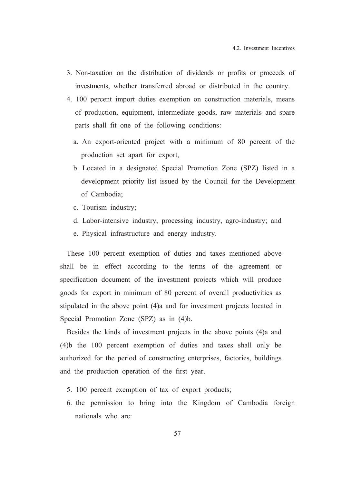- 3. Non-taxation on the distribution of dividends or profits or proceeds of investments, whether transferred abroad or distributed in the country.
- 4. 100 percent import duties exemption on construction materials, means of production, equipment, intermediate goods, raw materials and spare parts shall fit one of the following conditions:
	- a. An export-oriented project with a minimum of 80 percent of the production set apart for export,
	- b. Located in a designated Special Promotion Zone (SPZ) listed in a development priority list issued by the Council for the Development of Cambodia:
	- c. Tourism industry;
	- d. Labor-intensive industry, processing industry, agro-industry; and
	- e. Physical infrastructure and energy industry.

These 100 percent exemption of duties and taxes mentioned above shall be in effect according to the terms of the agreement or specification document of the investment projects which will produce goods for export in minimum of 80 percent of overall productivities as stipulated in the above point (4)a and for investment projects located in Special Promotion Zone (SPZ) as in (4)b.

Besides the kinds of investment projects in the above points (4) a and (4) b the 100 percent exemption of duties and taxes shall only be authorized for the period of constructing enterprises, factories, buildings and the production operation of the first year.

- 5. 100 percent exemption of tax of export products;
- 6. the permission to bring into the Kingdom of Cambodia foreign nationals who are: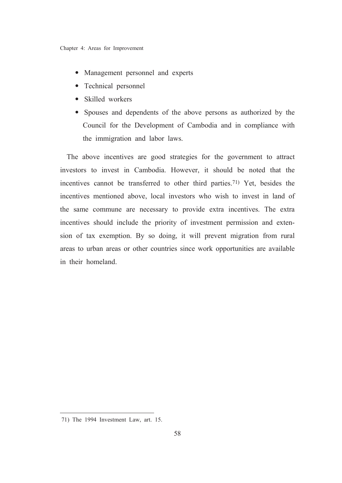- Management personnel and experts
- Technical personnel
- Skilled workers
- Spouses and dependents of the above persons as authorized by the  $\bullet$ Council for the Development of Cambodia and in compliance with the immigration and labor laws.

The above incentives are good strategies for the government to attract investors to invest in Cambodia. However, it should be noted that the incentives cannot be transferred to other third parties.<sup>71</sup> Yet, besides the incentives mentioned above, local investors who wish to invest in land of the same commune are necessary to provide extra incentives. The extra incentives should include the priority of investment permission and extension of tax exemption. By so doing, it will prevent migration from rural areas to urban areas or other countries since work opportunities are available in their homeland

<sup>71)</sup> The 1994 Investment Law, art. 15.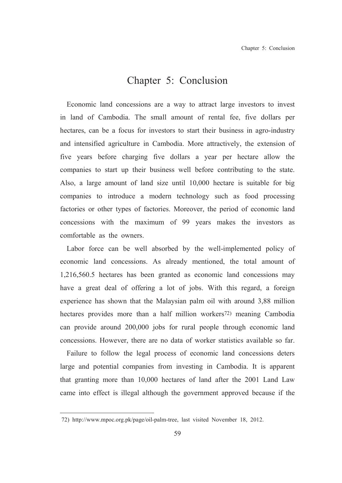# Chapter 5: Conclusion

Economic land concessions are a way to attract large investors to invest in land of Cambodia. The small amount of rental fee, five dollars per hectares, can be a focus for investors to start their business in agro-industry and intensified agriculture in Cambodia. More attractively, the extension of five years before charging five dollars a year per hectare allow the companies to start up their business well before contributing to the state. Also, a large amount of land size until 10,000 hectare is suitable for big companies to introduce a modern technology such as food processing factories or other types of factories. Moreover, the period of economic land concessions with the maximum of 99 years makes the investors as comfortable as the owners.

Labor force can be well absorbed by the well-implemented policy of economic land concessions. As already mentioned, the total amount of 1,216,560.5 hectares has been granted as economic land concessions may have a great deal of offering a lot of jobs. With this regard, a foreign experience has shown that the Malaysian palm oil with around 3,88 million hectares provides more than a half million workers<sup>72)</sup> meaning Cambodia can provide around 200,000 jobs for rural people through economic land concessions. However, there are no data of worker statistics available so far.

Failure to follow the legal process of economic land concessions deters large and potential companies from investing in Cambodia. It is apparent that granting more than 10,000 hectares of land after the 2001 Land Law came into effect is illegal although the government approved because if the

<sup>72)</sup> http://www.mpoc.org.pk/page/oil-palm-tree, last visited November 18, 2012.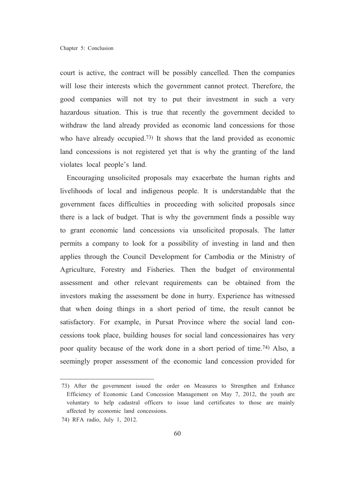court is active, the contract will be possibly cancelled. Then the companies will lose their interests which the government cannot protect. Therefore, the good companies will not try to put their investment in such a very hazardous situation. This is true that recently the government decided to withdraw the land already provided as economic land concessions for those who have already occupied.<sup>73</sup> It shows that the land provided as economic land concessions is not registered yet that is why the granting of the land violates local people's land.

Encouraging unsolicited proposals may exacerbate the human rights and livelihoods of local and indigenous people. It is understandable that the government faces difficulties in proceeding with solicited proposals since there is a lack of budget. That is why the government finds a possible way to grant economic land concessions via unsolicited proposals. The latter permits a company to look for a possibility of investing in land and then applies through the Council Development for Cambodia or the Ministry of Agriculture, Forestry and Fisheries. Then the budget of environmental assessment and other relevant requirements can be obtained from the investors making the assessment be done in hurry. Experience has witnessed that when doing things in a short period of time, the result cannot be satisfactory. For example, in Pursat Province where the social land concessions took place, building houses for social land concessionaires has very poor quality because of the work done in a short period of time.<sup>74)</sup> Also, a seemingly proper assessment of the economic land concession provided for

<sup>73)</sup> After the government issued the order on Measures to Strengthen and Enhance Efficiency of Economic Land Concession Management on May 7, 2012, the youth are voluntary to help cadastral officers to issue land certificates to those are mainly affected by economic land concessions.

<sup>74)</sup> RFA radio, July 1, 2012.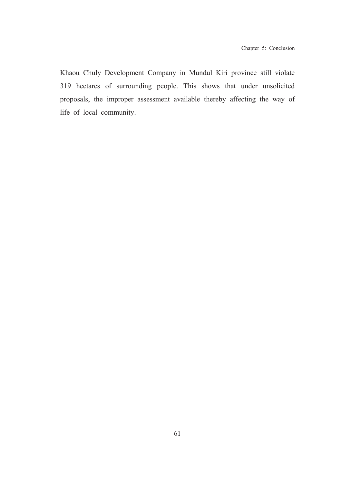Khaou Chuly Development Company in Mundul Kiri province still violate 319 hectares of surrounding people. This shows that under unsolicited proposals, the improper assessment available thereby affecting the way of life of local community.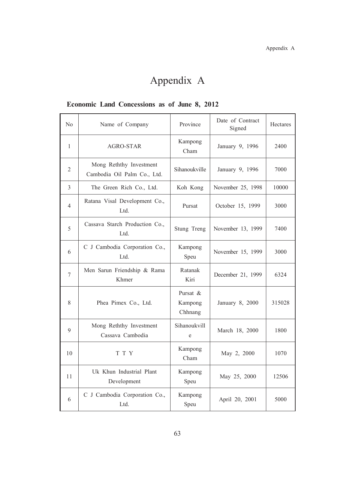## Economic Land Concessions as of June 8, 2012

| N <sub>0</sub> | Name of Company                                        | Province                       | Date of Contract<br>Signed | Hectares |
|----------------|--------------------------------------------------------|--------------------------------|----------------------------|----------|
| 1              | AGRO-STAR                                              | Kampong<br>Cham                | January 9, 1996            | 2400     |
| $\overline{2}$ | Mong Reththy Investment<br>Cambodia Oil Palm Co., Ltd. | Sihanoukville                  | January 9, 1996            | 7000     |
| 3              | The Green Rich Co., Ltd.                               | Koh Kong                       | November 25, 1998          | 10000    |
| 4              | Ratana Visal Development Co.,<br>Ltd.                  | Pursat                         | October 15, 1999           | 3000     |
| 5              | Cassava Starch Production Co.,<br>Ltd.                 | Stung Treng                    | November 13, 1999          | 7400     |
| 6              | C J Cambodia Corporation Co.,<br>Ltd.                  | Kampong<br>Speu                | November 15, 1999          | 3000     |
| $\overline{7}$ | Men Sarun Friendship & Rama<br>Khmer                   | Ratanak<br>Kiri                | December 21, 1999          | 6324     |
| 8              | Phea Pimex Co., Ltd.                                   | Pursat &<br>Kampong<br>Chhnang | January 8, 2000            | 315028   |
| 9              | Mong Reththy Investment<br>Cassava Cambodia            | Sihanoukvill<br>e              | March 18, 2000             | 1800     |
| 10             | T T Y                                                  | Kampong<br>Cham                | May 2, 2000                | 1070     |
| 11             | Uk Khun Industrial Plant<br>Development                | Kampong<br>Speu                | May 25, 2000               | 12506    |
| 6              | C J Cambodia Corporation Co.,<br>Ltd.                  | Kampong<br>Speu                | April 20, 2001             | 5000     |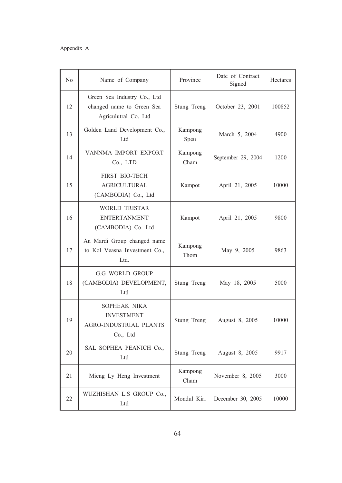| N <sub>0</sub> | Name of Company                                                                  | Province        | Date of Contract<br>Signed | Hectares |
|----------------|----------------------------------------------------------------------------------|-----------------|----------------------------|----------|
| 12             | Green Sea Industry Co., Ltd<br>changed name to Green Sea<br>Agriculutral Co. Ltd | Stung Treng     | October 23, 2001           | 100852   |
| 13             | Golden Land Development Co.,<br>Ltd                                              | Kampong<br>Speu | March 5, 2004              | 4900     |
| 14             | VANNMA IMPORT EXPORT<br>Co., LTD                                                 | Kampong<br>Cham | September 29, 2004         | 1200     |
| 15             | <b>FIRST BIO-TECH</b><br><b>AGRICULTURAL</b><br>(CAMBODIA) Co., Ltd              | Kampot          | April 21, 2005             | 10000    |
| 16             | <b>WORLD TRISTAR</b><br><b>ENTERTANMENT</b><br>(CAMBODIA) Co. Ltd                | Kampot          | April 21, 2005             | 9800     |
| 17             | An Mardi Group changed name<br>to Kol Veasna Investment Co.,<br>Ltd.             | Kampong<br>Thom | May 9, 2005                | 9863     |
| 18             | <b>G.G WORLD GROUP</b><br>(CAMBODIA) DEVELOPMENT,<br>Ltd                         | Stung Treng     | May 18, 2005               | 5000     |
| 19             | SOPHEAK NIKA<br><b>INVESTMENT</b><br>AGRO-INDUSTRIAL PLANTS<br>Co., Ltd          | Stung Treng     | August 8, 2005             | 10000    |
| 20             | SAL SOPHEA PEANICH Co.,<br>Ltd                                                   | Stung Treng     | August 8, 2005             | 9917     |
| 21             | Mieng Ly Heng Investment                                                         | Kampong<br>Cham | November 8, 2005           | 3000     |
| 22             | WUZHISHAN L.S GROUP Co.,<br>Ltd                                                  | Mondul Kiri     | December 30, 2005          | 10000    |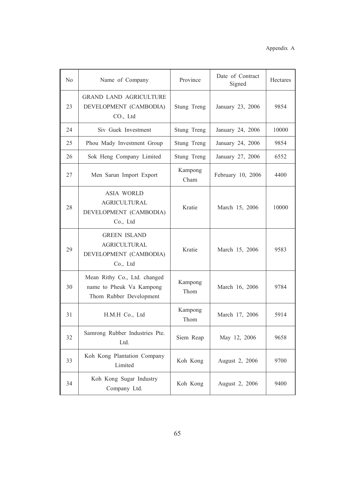| No | Name of Company                                                                     | Province        | Date of Contract<br>Signed | Hectares |
|----|-------------------------------------------------------------------------------------|-----------------|----------------------------|----------|
| 23 | <b>GRAND LAND AGRICULTURE</b><br>DEVELOPMENT (CAMBODIA)<br>CO., Ltd                 | Stung Treng     | January 23, 2006           | 9854     |
| 24 | Siv Guek Investment                                                                 | Stung Treng     | January 24, 2006           | 10000    |
| 25 | Phou Mady Investment Group                                                          | Stung Treng     | January 24, 2006           | 9854     |
| 26 | Sok Heng Company Limited                                                            | Stung Treng     | January 27, 2006           | 6552     |
| 27 | Men Sarun Import Export                                                             | Kampong<br>Cham | February 10, 2006          | 4400     |
| 28 | <b>ASIA WORLD</b><br><b>AGRICULTURAL</b><br>DEVELOPMENT (CAMBODIA)<br>Co., Ltd      | Kratie          | March 15, 2006             | 10000    |
| 29 | <b>GREEN ISLAND</b><br><b>AGRICULTURAL</b><br>DEVELOPMENT (CAMBODIA)<br>Co., Ltd    | Kratie          | March 15, 2006             | 9583     |
| 30 | Mean Rithy Co., Ltd. changed<br>name to Pheuk Va Kampong<br>Thom Rubber Development | Kampong<br>Thom | March 16, 2006             | 9784     |
| 31 | H.M.H Co., Ltd                                                                      | Kampong<br>Thom | March 17, 2006             | 5914     |
| 32 | Samrong Rubber Industries Pte.<br>Ltd.                                              | Siem Reap       | May 12, 2006               | 9658     |
| 33 | Koh Kong Plantation Company<br>Limited                                              | Koh Kong        | August 2, 2006             | 9700     |
| 34 | Koh Kong Sugar Industry<br>Company Ltd.                                             | Koh Kong        | August 2, 2006             | 9400     |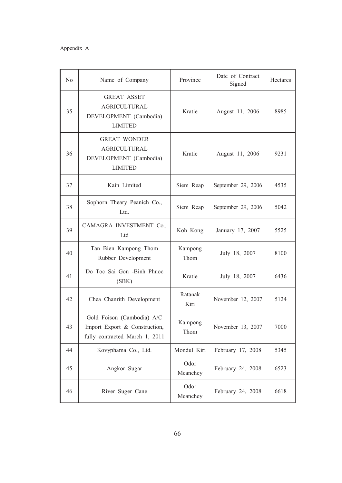| N <sub>0</sub> | Name of Company                                                                               | Province         | Date of Contract<br>Signed | Hectares |
|----------------|-----------------------------------------------------------------------------------------------|------------------|----------------------------|----------|
| 35             | <b>GREAT ASSET</b><br><b>AGRICULTURAL</b><br>DEVELOPMENT (Cambodia)<br><b>LIMITED</b>         | Kratie           | August 11, 2006            | 8985     |
| 36             | <b>GREAT WONDER</b><br><b>AGRICULTURAL</b><br>DEVELOPMENT (Cambodia)<br><b>LIMITED</b>        | Kratie           | August 11, 2006            | 9231     |
| 37             | Kain Limited                                                                                  | Siem Reap        | September 29, 2006         | 4535     |
| 38             | Sophorn Theary Peanich Co.,<br>Ltd.                                                           | Siem Reap        | September 29, 2006         | 5042     |
| 39             | CAMAGRA INVESTMENT Co.,<br>Ltd                                                                | Koh Kong         | January 17, 2007           | 5525     |
| 40             | Tan Bien Kampong Thom<br>Rubber Development                                                   | Kampong<br>Thom  | July 18, 2007              | 8100     |
| 41             | Do Toc Sai Gon -Binh Phuoc<br>(SBK)                                                           | Kratie           | July 18, 2007              | 6436     |
| 42             | Chea Chanrith Development                                                                     | Ratanak<br>Kiri  | November 12, 2007          | 5124     |
| 43             | Gold Foison (Cambodia) A/C<br>Import Export & Construction,<br>fully contracted March 1, 2011 | Kampong<br>Thom  | November 13, 2007          | 7000     |
| 44             | Kovyphama Co., Ltd.                                                                           | Mondul Kiri      | February 17, 2008          | 5345     |
| 45             | Angkor Sugar                                                                                  | Odor<br>Meanchey | February 24, 2008          | 6523     |
| 46             | River Suger Cane                                                                              | Odor<br>Meanchey | February 24, 2008          | 6618     |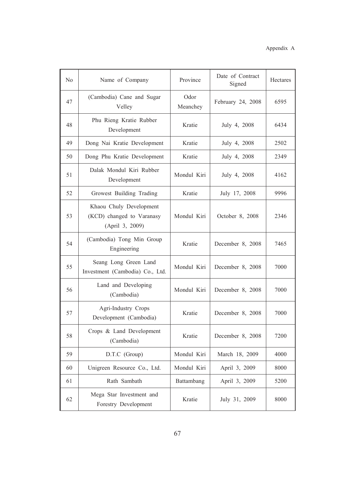| N <sub>0</sub> | Name of Company                                                         | Province         | Date of Contract<br>Signed | Hectares |
|----------------|-------------------------------------------------------------------------|------------------|----------------------------|----------|
| 47             | (Cambodia) Cane and Sugar<br>Velley                                     | Odor<br>Meanchey | February 24, 2008          | 6595     |
| 48             | Phu Rieng Kratie Rubber<br>Development                                  | Kratie           | July 4, 2008               | 6434     |
| 49             | Dong Nai Kratie Development                                             | Kratie           | July 4, 2008               | 2502     |
| 50             | Dong Phu Kratie Development                                             | Kratie           | July 4, 2008               | 2349     |
| 51             | Dalak Mondul Kiri Rubber<br>Development                                 | Mondul Kiri      | July 4, 2008               | 4162     |
| 52             | Growest Building Trading                                                | Kratie           | July 17, 2008              | 9996     |
| 53             | Khaou Chuly Development<br>(KCD) changed to Varanasy<br>(April 3, 2009) | Mondul Kiri      | October 8, 2008            | 2346     |
| 54             | (Cambodia) Tong Min Group<br>Engineering                                | Kratie           | December 8, 2008           | 7465     |
| 55             | Seang Long Green Land<br>Investment (Cambodia) Co., Ltd.                | Mondul Kiri      | December 8, 2008           | 7000     |
| 56             | Land and Developing<br>(Cambodia)                                       | Mondul Kiri      | December 8, 2008           | 7000     |
| 57             | Agri-Industry Crops<br>Development (Cambodia)                           | Kratie           | December 8, 2008           | 7000     |
| 58             | Crops & Land Development<br>(Cambodia)                                  | Kratie           | December 8, 2008           | 7200     |
| 59             | D.T.C (Group)                                                           | Mondul Kiri      | March 18, 2009             | 4000     |
| 60             | Unigreen Resource Co., Ltd.                                             | Mondul Kiri      | April 3, 2009              | 8000     |
| 61             | Rath Sambath                                                            | Battambang       | April 3, 2009              | 5200     |
| 62             | Mega Star Investment and<br>Forestry Development                        | Kratie           | July 31, 2009              | 8000     |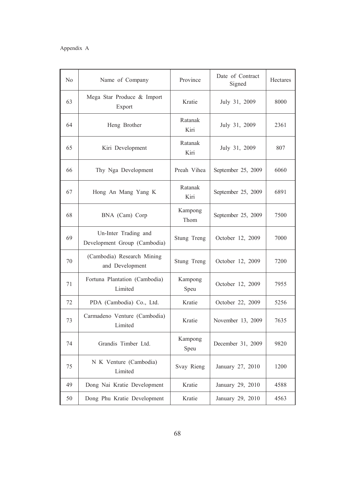| N <sub>0</sub> | Name of Company                                      | Province        | Date of Contract<br>Signed | Hectares |
|----------------|------------------------------------------------------|-----------------|----------------------------|----------|
| 63             | Mega Star Produce & Import<br>Export                 | Kratie          | July 31, 2009              | 8000     |
| 64             | Heng Brother                                         | Ratanak<br>Kiri | July 31, 2009              | 2361     |
| 65             | Kiri Development                                     | Ratanak<br>Kiri | July 31, 2009              | 807      |
| 66             | Thy Nga Development                                  | Preah Vihea     | September 25, 2009         | 6060     |
| 67             | Hong An Mang Yang K                                  | Ratanak<br>Kiri | September 25, 2009         | 6891     |
| 68             | BNA (Cam) Corp                                       | Kampong<br>Thom | September 25, 2009         | 7500     |
| 69             | Un-Inter Trading and<br>Development Group (Cambodia) | Stung Treng     | October 12, 2009           | 7000     |
| 70             | (Cambodia) Research Mining<br>and Development        | Stung Treng     | October 12, 2009           | 7200     |
| 71             | Fortuna Plantation (Cambodia)<br>Limited             | Kampong<br>Speu | October 12, 2009           | 7955     |
| 72             | PDA (Cambodia) Co., Ltd.                             | Kratie          | October 22, 2009           | 5256     |
| 73             | Carmadeno Venture (Cambodia)<br>Limited              | Kratie          | November 13, 2009          | 7635     |
| 74             | Grandis Timber Ltd.                                  | Kampong<br>Speu | December 31, 2009          | 9820     |
| 75             | N K Venture (Cambodia)<br>Limited                    | Svay Rieng      | January 27, 2010           | 1200     |
| 49             | Dong Nai Kratie Development                          | Kratie          | January 29, 2010           | 4588     |
| 50             | Dong Phu Kratie Development                          | Kratie          | January 29, 2010           | 4563     |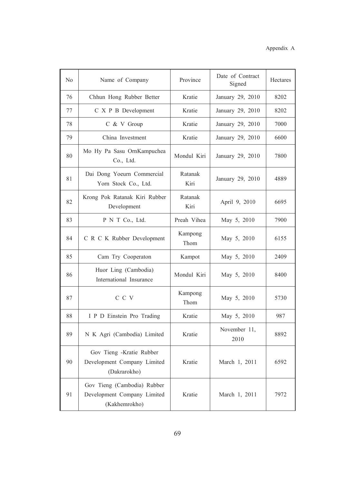| N <sub>0</sub> | Name of Company                                                             | Province        | Date of Contract<br>Signed | Hectares |
|----------------|-----------------------------------------------------------------------------|-----------------|----------------------------|----------|
| 76             | Chhun Hong Rubber Better                                                    | Kratie          | January 29, 2010           | 8202     |
| 77             | C X P B Development                                                         | Kratie          | January 29, 2010           | 8202     |
| 78             | C & V Group                                                                 | Kratie          | January 29, 2010           | 7000     |
| 79             | China Investment                                                            | Kratie          | January 29, 2010           | 6600     |
| 80             | Mo Hy Pa Sasu OrnKampuchea<br>Co., Ltd.                                     | Mondul Kiri     | January 29, 2010           | 7800     |
| 81             | Dai Dong Yoeurn Commercial<br>Yorn Stock Co., Ltd.                          | Ratanak<br>Kiri | January 29, 2010           | 4889     |
| 82             | Krong Pok Ratanak Kiri Rubber<br>Development                                | Ratanak<br>Kiri | April 9, 2010              | 6695     |
| 83             | P N T Co., Ltd.                                                             | Preah Vihea     | May 5, 2010                | 7900     |
| 84             | C R C K Rubber Development                                                  | Kampong<br>Thom | May 5, 2010                | 6155     |
| 85             | Cam Try Cooperaton                                                          | Kampot          | May 5, 2010                | 2409     |
| 86             | Huor Ling (Cambodia)<br>International Insurance                             | Mondul Kiri     | May 5, 2010                | 8400     |
| 87             | C C V                                                                       | Kampong<br>Thom | May 5, 2010                | 5730     |
| 88             | I P D Einstein Pro Trading                                                  | Kratie          | May 5, 2010                | 987      |
| 89             | N K Agri (Cambodia) Limited                                                 | Kratie          | November 11,<br>2010       | 8892     |
| 90             | Gov Tieng -Kratie Rubber<br>Development Company Limited<br>(Dakrarokho)     | Kratie          | March 1, 2011              | 6592     |
| 91             | Gov Tieng (Cambodia) Rubber<br>Development Company Limited<br>(Kakhemrokho) | Kratie          | March 1, 2011              | 7972     |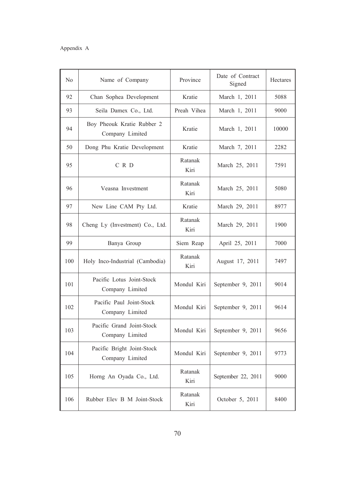| N <sub>0</sub> | Name of Company                               | Province        | Date of Contract<br>Signed | Hectares |
|----------------|-----------------------------------------------|-----------------|----------------------------|----------|
| 92             | Chan Sophea Development                       | Kratie          | March 1, 2011              | 5088     |
| 93             | Seila Damex Co., Ltd.                         | Preah Vihea     | March 1, 2011              | 9000     |
| 94             | Boy Pheouk Kratie Rubber 2<br>Company Limited | Kratie          | March 1, 2011              | 10000    |
| 50             | Dong Phu Kratie Development                   | Kratie          | March 7, 2011              | 2282     |
| 95             | C R D                                         | Ratanak<br>Kiri | March 25, 2011             | 7591     |
| 96             | Veasna Investment                             | Ratanak<br>Kiri | March 25, 2011             | 5080     |
| 97             | New Line CAM Pty Ltd.                         | Kratie          | March 29, 2011             | 8977     |
| 98             | Cheng Ly (Investment) Co., Ltd.               | Ratanak<br>Kiri | March 29, 2011             | 1900     |
| 99             | Banya Group                                   | Siem Reap       | April 25, 2011             | 7000     |
| 100            | Holy Inco-Industrial (Cambodia)               | Ratanak<br>Kiri | August 17, 2011            | 7497     |
| 101            | Pacific Lotus Joint-Stock<br>Company Limited  | Mondul Kiri     | September 9, 2011          | 9014     |
| 102            | Pacific Paul Joint-Stock<br>Company Limited   | Mondul Kiri     | September 9, 2011          | 9614     |
| 103            | Pacific Grand Joint-Stock<br>Company Limited  | Mondul Kiri     | September 9, 2011          | 9656     |
| 104            | Pacific Bright Joint-Stock<br>Company Limited | Mondul Kiri     | September 9, 2011          | 9773     |
| 105            | Horng An Oyada Co., Ltd.                      | Ratanak<br>Kiri | September 22, 2011         | 9000     |
| 106            | Rubber Elev B M Joint-Stock                   | Ratanak<br>Kiri | October 5, 2011            | 8400     |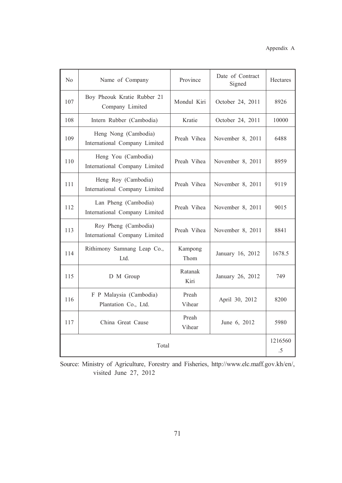| N <sub>o</sub> | Name of Company                                       | Province        | Date of Contract<br>Signed | Hectares      |
|----------------|-------------------------------------------------------|-----------------|----------------------------|---------------|
| 107            | Boy Pheouk Kratie Rubber 21<br>Company Limited        | Mondul Kiri     | October 24, 2011           | 8926          |
| 108            | Intern Rubber (Cambodia)                              | Kratie          | October 24, 2011           | 10000         |
| 109            | Heng Nong (Cambodia)<br>International Company Limited | Preah Vihea     | November 8, 2011           | 6488          |
| 110            | Heng You (Cambodia)<br>International Company Limited  | Preah Vihea     | November 8, 2011           | 8959          |
| 111            | Heng Roy (Cambodia)<br>International Company Limited  | Preah Vihea     | November 8, 2011           | 9119          |
| 112            | Lan Pheng (Cambodia)<br>International Company Limited | Preah Vihea     | November 8, 2011           | 9015          |
| 113            | Roy Pheng (Cambodia)<br>International Company Limited | Preah Vihea     | November 8, 2011           | 8841          |
| 114            | Rithimony Samnang Leap Co.,<br>Ltd.                   | Kampong<br>Thom | January 16, 2012           | 1678.5        |
| 115            | D M Group                                             | Ratanak<br>Kiri | January 26, 2012           | 749           |
| 116            | F P Malaysia (Cambodia)<br>Plantation Co., Ltd.       | Preah<br>Vihear | April 30, 2012             | 8200          |
| 117            | China Great Cause                                     | Preah<br>Vihear | June 6, 2012               | 5980          |
| Total          |                                                       |                 |                            | 1216560<br>.5 |

Source: Ministry of Agriculture, Forestry and Fisheries, http://www.elc.maff.gov.kh/en/, visited June 27, 2012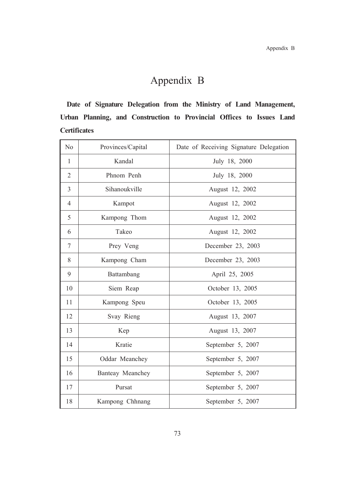# Appendix B

Date of Signature Delegation from the Ministry of Land Management, Urban Planning, and Construction to Provincial Offices to Issues Land **Certificates** 

| N <sub>0</sub> | Provinces/Capital | Date of Receiving Signature Delegation |
|----------------|-------------------|----------------------------------------|
| $\mathbf{1}$   | Kandal            | July 18, 2000                          |
| $\overline{2}$ | Phnom Penh        | July 18, 2000                          |
| 3              | Sihanoukville     | August 12, 2002                        |
| $\overline{4}$ | Kampot            | August 12, 2002                        |
| 5              | Kampong Thom      | August 12, 2002                        |
| 6              | Takeo             | August 12, 2002                        |
| $\overline{7}$ | Prey Veng         | December 23, 2003                      |
| 8              | Kampong Cham      | December 23, 2003                      |
| 9              | Battambang        | April 25, 2005                         |
| 10             | Siem Reap         | October 13, 2005                       |
| 11             | Kampong Speu      | October 13, 2005                       |
| 12             | Svay Rieng        | August 13, 2007                        |
| 13             | Kep               | August 13, 2007                        |
| 14             | Kratie            | September 5, 2007                      |
| 15             | Oddar Meanchey    | September 5, 2007                      |
| 16             | Banteay Meanchey  | September 5, 2007                      |
| 17             | Pursat            | September 5, 2007                      |
| 18             | Kampong Chhnang   | September 5, 2007                      |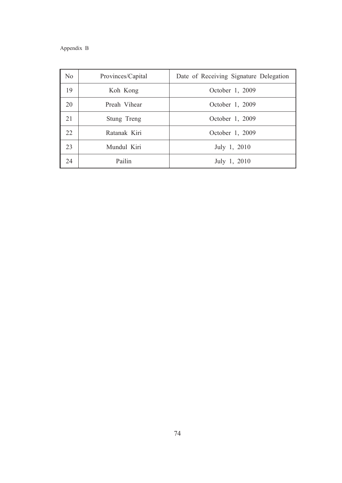# Appendix B

| No | Provinces/Capital | Date of Receiving Signature Delegation |
|----|-------------------|----------------------------------------|
| 19 | Koh Kong          | October 1, 2009                        |
| 20 | Preah Vihear      | October 1, 2009                        |
| 21 | Stung Treng       | October 1, 2009                        |
| 22 | Ratanak Kiri      | October 1, 2009                        |
| 23 | Mundul Kiri       | July 1, 2010                           |
| 24 | Pailin            | July 1, 2010                           |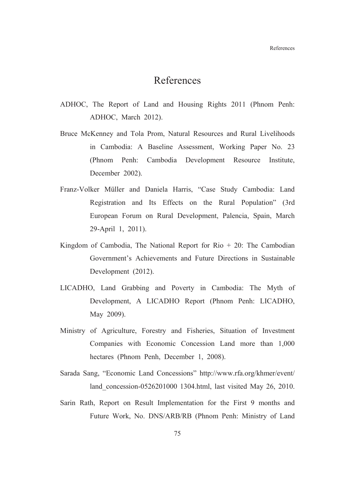# References

- ADHOC, The Report of Land and Housing Rights 2011 (Phnom Penh: ADHOC, March 2012).
- Bruce McKenney and Tola Prom, Natural Resources and Rural Livelihoods in Cambodia: A Baseline Assessment, Working Paper No. 23 (Phnom Penh: Cambodia Development Resource Institute, December 2002).
- Franz-Volker Müller and Daniela Harris, "Case Study Cambodia: Land Registration and Its Effects on the Rural Population" (3rd European Forum on Rural Development, Palencia, Spain, March 29-April 1, 2011).
- Kingdom of Cambodia, The National Report for Rio  $+20$ : The Cambodian Government's Achievements and Future Directions in Sustainable Development (2012).
- LICADHO, Land Grabbing and Poverty in Cambodia: The Myth of Development, A LICADHO Report (Phnom Penh: LICADHO, May 2009).
- Ministry of Agriculture, Forestry and Fisheries, Situation of Investment Companies with Economic Concession Land more than 1,000 hectares (Phnom Penh, December 1, 2008).
- Sarada Sang, "Economic Land Concessions" http://www.rfa.org/khmer/event/ land concession-0526201000 1304.html, last visited May 26, 2010.
- Sarin Rath, Report on Result Implementation for the First 9 months and Future Work, No. DNS/ARB/RB (Phnom Penh: Ministry of Land